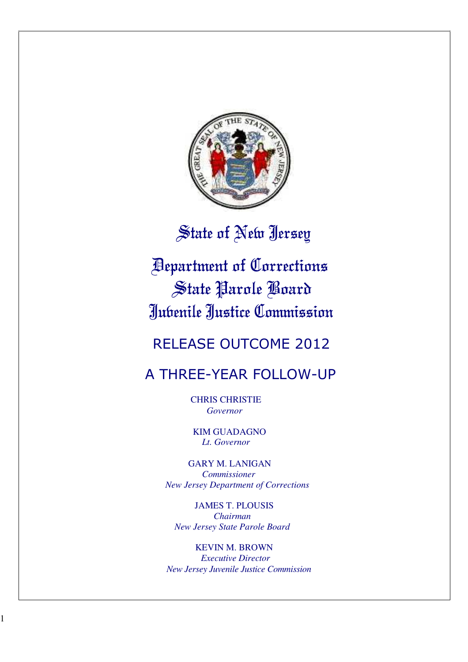

# State of New Jersey

# Department of Corrections State Parole Board Juvenile Justice Commission

## RELEASE OUTCOME 2012

## A THREE-YEAR FOLLOW-UP

CHRIS CHRISTIE *Governor*

 KIM GUADAGNO *Lt. Governor*

GARY M. LANIGAN *Commissioner New Jersey Department of Corrections*

JAMES T. PLOUSIS  *Chairman New Jersey State Parole Board*

KEVIN M. BROWN *Executive Director New Jersey Juvenile Justice Commission*

1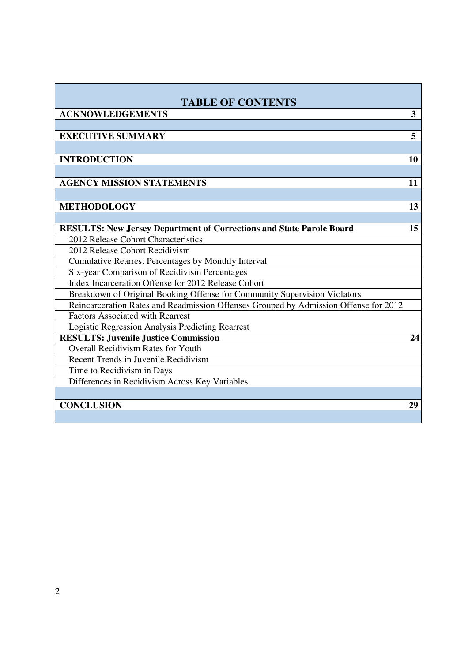| <b>TABLE OF CONTENTS</b>                                                             |    |  |  |
|--------------------------------------------------------------------------------------|----|--|--|
| <b>ACKNOWLEDGEMENTS</b>                                                              | 3  |  |  |
|                                                                                      |    |  |  |
| <b>EXECUTIVE SUMMARY</b>                                                             | 5  |  |  |
|                                                                                      |    |  |  |
| <b>INTRODUCTION</b>                                                                  | 10 |  |  |
|                                                                                      |    |  |  |
| <b>AGENCY MISSION STATEMENTS</b>                                                     | 11 |  |  |
|                                                                                      |    |  |  |
| <b>METHODOLOGY</b>                                                                   | 13 |  |  |
|                                                                                      |    |  |  |
| <b>RESULTS: New Jersey Department of Corrections and State Parole Board</b>          | 15 |  |  |
| 2012 Release Cohort Characteristics                                                  |    |  |  |
| 2012 Release Cohort Recidivism                                                       |    |  |  |
| Cumulative Rearrest Percentages by Monthly Interval                                  |    |  |  |
| Six-year Comparison of Recidivism Percentages                                        |    |  |  |
| Index Incarceration Offense for 2012 Release Cohort                                  |    |  |  |
| Breakdown of Original Booking Offense for Community Supervision Violators            |    |  |  |
| Reincarceration Rates and Readmission Offenses Grouped by Admission Offense for 2012 |    |  |  |
| <b>Factors Associated with Rearrest</b>                                              |    |  |  |
| <b>Logistic Regression Analysis Predicting Rearrest</b>                              |    |  |  |
| <b>RESULTS: Juvenile Justice Commission</b>                                          | 24 |  |  |
| <b>Overall Recidivism Rates for Youth</b>                                            |    |  |  |
| Recent Trends in Juvenile Recidivism                                                 |    |  |  |
| Time to Recidivism in Days                                                           |    |  |  |
| Differences in Recidivism Across Key Variables                                       |    |  |  |
|                                                                                      |    |  |  |
| <b>CONCLUSION</b>                                                                    | 29 |  |  |
|                                                                                      |    |  |  |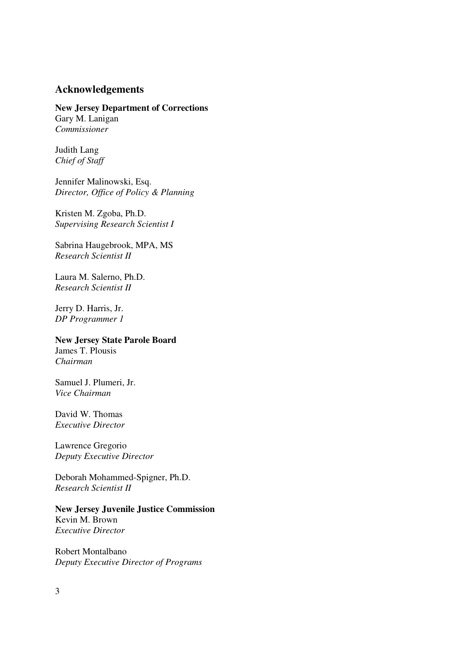## **Acknowledgements**

**New Jersey Department of Corrections**  Gary M. Lanigan *Commissioner* 

Judith Lang *Chief of Staff* 

Jennifer Malinowski, Esq. *Director, Office of Policy & Planning* 

Kristen M. Zgoba, Ph.D. *Supervising Research Scientist I* 

Sabrina Haugebrook, MPA, MS *Research Scientist II* 

Laura M. Salerno, Ph.D. *Research Scientist II* 

Jerry D. Harris, Jr. *DP Programmer 1* 

## **New Jersey State Parole Board**

James T. Plousis *Chairman* 

Samuel J. Plumeri, Jr. *Vice Chairman* 

David W. Thomas *Executive Director* 

Lawrence Gregorio *Deputy Executive Director* 

Deborah Mohammed-Spigner, Ph.D. *Research Scientist II* 

**New Jersey Juvenile Justice Commission**  Kevin M. Brown *Executive Director* 

Robert Montalbano *Deputy Executive Director of Programs*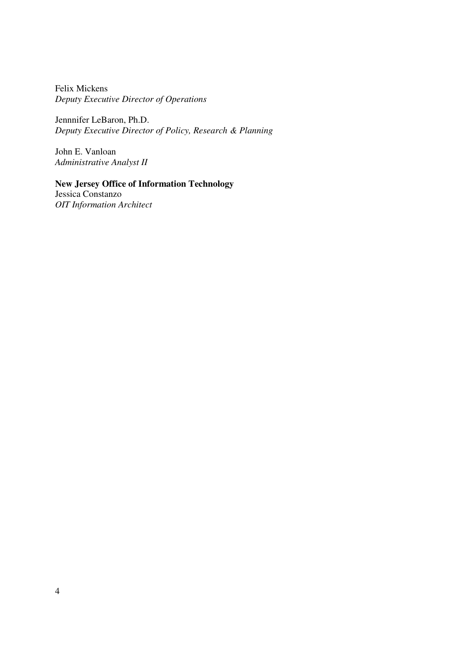Felix Mickens *Deputy Executive Director of Operations* 

Jennnifer LeBaron, Ph.D. *Deputy Executive Director of Policy, Research & Planning* 

John E. Vanloan *Administrative Analyst II* 

**New Jersey Office of Information Technology**  Jessica Constanzo *OIT Information Architect*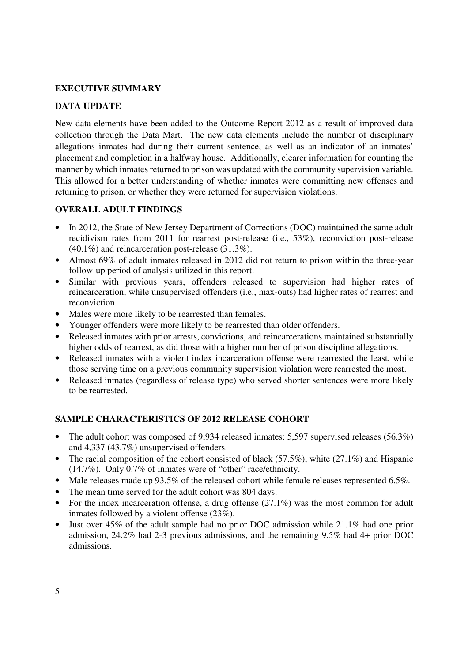## **EXECUTIVE SUMMARY**

## **DATA UPDATE**

New data elements have been added to the Outcome Report 2012 as a result of improved data collection through the Data Mart. The new data elements include the number of disciplinary allegations inmates had during their current sentence, as well as an indicator of an inmates' placement and completion in a halfway house. Additionally, clearer information for counting the manner by which inmates returned to prison was updated with the community supervision variable. This allowed for a better understanding of whether inmates were committing new offenses and returning to prison, or whether they were returned for supervision violations.

## **OVERALL ADULT FINDINGS**

- In 2012, the State of New Jersey Department of Corrections (DOC) maintained the same adult recidivism rates from 2011 for rearrest post-release (i.e., 53%), reconviction post-release (40.1%) and reincarceration post-release (31.3%).
- Almost 69% of adult inmates released in 2012 did not return to prison within the three-year follow-up period of analysis utilized in this report.
- Similar with previous years, offenders released to supervision had higher rates of reincarceration, while unsupervised offenders (i.e., max-outs) had higher rates of rearrest and reconviction.
- Males were more likely to be rearrested than females.
- Younger offenders were more likely to be rearrested than older offenders.
- Released inmates with prior arrests, convictions, and reincarcerations maintained substantially higher odds of rearrest, as did those with a higher number of prison discipline allegations.
- Released inmates with a violent index incarceration offense were rearrested the least, while those serving time on a previous community supervision violation were rearrested the most.
- Released inmates (regardless of release type) who served shorter sentences were more likely to be rearrested.

## **SAMPLE CHARACTERISTICS OF 2012 RELEASE COHORT**

- The adult cohort was composed of 9,934 released inmates: 5,597 supervised releases (56.3%) and 4,337 (43.7%) unsupervised offenders.
- The racial composition of the cohort consisted of black  $(57.5\%)$ , white  $(27.1\%)$  and Hispanic (14.7%). Only 0.7% of inmates were of "other" race/ethnicity.
- Male releases made up 93.5% of the released cohort while female releases represented 6.5%.
- The mean time served for the adult cohort was 804 days.
- For the index incarceration offense, a drug offense  $(27.1\%)$  was the most common for adult inmates followed by a violent offense (23%).
- Just over 45% of the adult sample had no prior DOC admission while 21.1% had one prior admission, 24.2% had 2-3 previous admissions, and the remaining 9.5% had 4+ prior DOC admissions.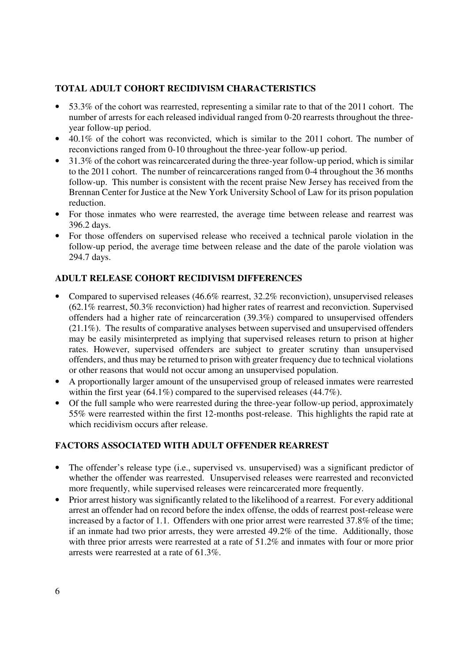## **TOTAL ADULT COHORT RECIDIVISM CHARACTERISTICS**

- 53.3% of the cohort was rearrested, representing a similar rate to that of the 2011 cohort. The number of arrests for each released individual ranged from 0-20 rearrests throughout the threeyear follow-up period.
- 40.1% of the cohort was reconvicted, which is similar to the 2011 cohort. The number of reconvictions ranged from 0-10 throughout the three-year follow-up period.
- 31.3% of the cohort was reincarcerated during the three-year follow-up period, which is similar to the 2011 cohort. The number of reincarcerations ranged from 0-4 throughout the 36 months follow-up. This number is consistent with the recent praise New Jersey has received from the Brennan Center for Justice at the New York University School of Law for its prison population reduction.
- For those inmates who were rearrested, the average time between release and rearrest was 396.2 days.
- For those offenders on supervised release who received a technical parole violation in the follow-up period, the average time between release and the date of the parole violation was 294.7 days.

## **ADULT RELEASE COHORT RECIDIVISM DIFFERENCES**

- Compared to supervised releases (46.6% rearrest, 32.2% reconviction), unsupervised releases (62.1% rearrest, 50.3% reconviction) had higher rates of rearrest and reconviction. Supervised offenders had a higher rate of reincarceration (39.3%) compared to unsupervised offenders (21.1%). The results of comparative analyses between supervised and unsupervised offenders may be easily misinterpreted as implying that supervised releases return to prison at higher rates. However, supervised offenders are subject to greater scrutiny than unsupervised offenders, and thus may be returned to prison with greater frequency due to technical violations or other reasons that would not occur among an unsupervised population.
- A proportionally larger amount of the unsupervised group of released inmates were rearrested within the first year (64.1%) compared to the supervised releases (44.7%).
- Of the full sample who were rearrested during the three-year follow-up period, approximately 55% were rearrested within the first 12-months post-release. This highlights the rapid rate at which recidivism occurs after release.

## **FACTORS ASSOCIATED WITH ADULT OFFENDER REARREST**

- The offender's release type (i.e., supervised vs. unsupervised) was a significant predictor of whether the offender was rearrested. Unsupervised releases were rearrested and reconvicted more frequently, while supervised releases were reincarcerated more frequently.
- Prior arrest history was significantly related to the likelihood of a rearrest. For every additional arrest an offender had on record before the index offense, the odds of rearrest post-release were increased by a factor of 1.1. Offenders with one prior arrest were rearrested 37.8% of the time; if an inmate had two prior arrests, they were arrested 49.2% of the time. Additionally, those with three prior arrests were rearrested at a rate of 51.2% and inmates with four or more prior arrests were rearrested at a rate of 61.3%.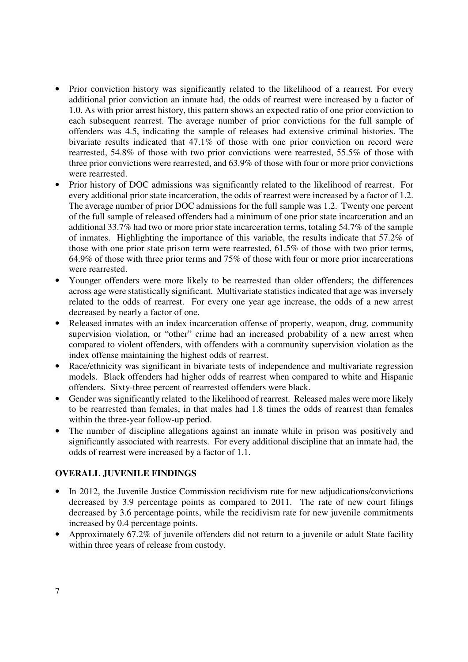- Prior conviction history was significantly related to the likelihood of a rearrest. For every additional prior conviction an inmate had, the odds of rearrest were increased by a factor of 1.0. As with prior arrest history, this pattern shows an expected ratio of one prior conviction to each subsequent rearrest. The average number of prior convictions for the full sample of offenders was 4.5, indicating the sample of releases had extensive criminal histories. The bivariate results indicated that 47.1% of those with one prior conviction on record were rearrested, 54.8% of those with two prior convictions were rearrested, 55.5% of those with three prior convictions were rearrested, and 63.9% of those with four or more prior convictions were rearrested.
- Prior history of DOC admissions was significantly related to the likelihood of rearrest. For every additional prior state incarceration, the odds of rearrest were increased by a factor of 1.2. The average number of prior DOC admissions for the full sample was 1.2. Twenty one percent of the full sample of released offenders had a minimum of one prior state incarceration and an additional 33.7% had two or more prior state incarceration terms, totaling 54.7% of the sample of inmates. Highlighting the importance of this variable, the results indicate that 57.2% of those with one prior state prison term were rearrested, 61.5% of those with two prior terms, 64.9% of those with three prior terms and 75% of those with four or more prior incarcerations were rearrested.
- Younger offenders were more likely to be rearrested than older offenders; the differences across age were statistically significant. Multivariate statistics indicated that age was inversely related to the odds of rearrest. For every one year age increase, the odds of a new arrest decreased by nearly a factor of one.
- Released inmates with an index incarceration offense of property, weapon, drug, community supervision violation, or "other" crime had an increased probability of a new arrest when compared to violent offenders, with offenders with a community supervision violation as the index offense maintaining the highest odds of rearrest.
- Race/ethnicity was significant in bivariate tests of independence and multivariate regression models. Black offenders had higher odds of rearrest when compared to white and Hispanic offenders. Sixty-three percent of rearrested offenders were black.
- Gender was significantly related to the likelihood of rearrest. Released males were more likely to be rearrested than females, in that males had 1.8 times the odds of rearrest than females within the three-year follow-up period.
- The number of discipline allegations against an inmate while in prison was positively and significantly associated with rearrests. For every additional discipline that an inmate had, the odds of rearrest were increased by a factor of 1.1.

## **OVERALL JUVENILE FINDINGS**

- In 2012, the Juvenile Justice Commission recidivism rate for new adjudications/convictions decreased by 3.9 percentage points as compared to 2011. The rate of new court filings decreased by 3.6 percentage points, while the recidivism rate for new juvenile commitments increased by 0.4 percentage points.
- Approximately 67.2% of juvenile offenders did not return to a juvenile or adult State facility within three years of release from custody.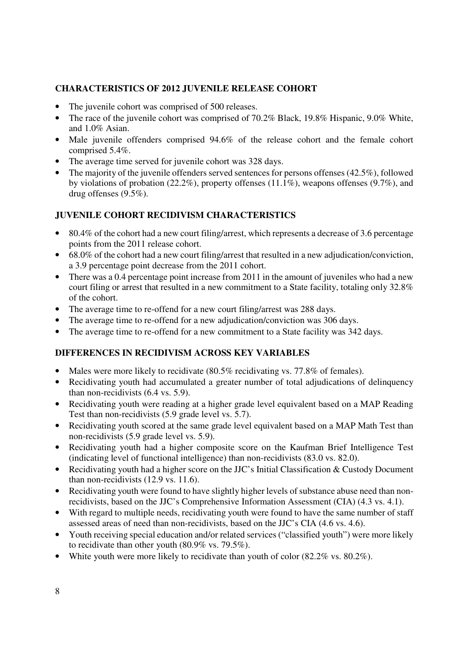## **CHARACTERISTICS OF 2012 JUVENILE RELEASE COHORT**

- The juvenile cohort was comprised of 500 releases.
- The race of the juvenile cohort was comprised of 70.2% Black, 19.8% Hispanic, 9.0% White, and 1.0% Asian.
- Male juvenile offenders comprised 94.6% of the release cohort and the female cohort comprised 5.4%.
- The average time served for juvenile cohort was 328 days.
- The majority of the juvenile offenders served sentences for persons offenses  $(42.5\%)$ , followed by violations of probation (22.2%), property offenses (11.1%), weapons offenses (9.7%), and drug offenses (9.5%).

## **JUVENILE COHORT RECIDIVISM CHARACTERISTICS**

- 80.4% of the cohort had a new court filing/arrest, which represents a decrease of 3.6 percentage points from the 2011 release cohort.
- 68.0% of the cohort had a new court filing/arrest that resulted in a new adjudication/conviction, a 3.9 percentage point decrease from the 2011 cohort.
- There was a 0.4 percentage point increase from 2011 in the amount of juveniles who had a new court filing or arrest that resulted in a new commitment to a State facility, totaling only 32.8% of the cohort.
- The average time to re-offend for a new court filing/arrest was 288 days.
- The average time to re-offend for a new adjudication/conviction was 306 days.
- The average time to re-offend for a new commitment to a State facility was 342 days.

## **DIFFERENCES IN RECIDIVISM ACROSS KEY VARIABLES**

- Males were more likely to recidivate (80.5% recidivating vs. 77.8% of females).
- Recidivating youth had accumulated a greater number of total adjudications of delinquency than non-recidivists (6.4 vs. 5.9).
- Recidivating youth were reading at a higher grade level equivalent based on a MAP Reading Test than non-recidivists (5.9 grade level vs. 5.7).
- Recidivating youth scored at the same grade level equivalent based on a MAP Math Test than non-recidivists (5.9 grade level vs. 5.9).
- Recidivating youth had a higher composite score on the Kaufman Brief Intelligence Test (indicating level of functional intelligence) than non-recidivists (83.0 vs. 82.0).
- Recidivating youth had a higher score on the JJC's Initial Classification & Custody Document than non-recidivists (12.9 vs. 11.6).
- Recidivating youth were found to have slightly higher levels of substance abuse need than nonrecidivists, based on the JJC's Comprehensive Information Assessment (CIA) (4.3 vs. 4.1).
- With regard to multiple needs, recidivating youth were found to have the same number of staff assessed areas of need than non-recidivists, based on the JJC's CIA (4.6 vs. 4.6).
- Youth receiving special education and/or related services ("classified youth") were more likely to recidivate than other youth (80.9% vs. 79.5%).
- White youth were more likely to recidivate than youth of color  $(82.2\% \text{ vs. } 80.2\%)$ .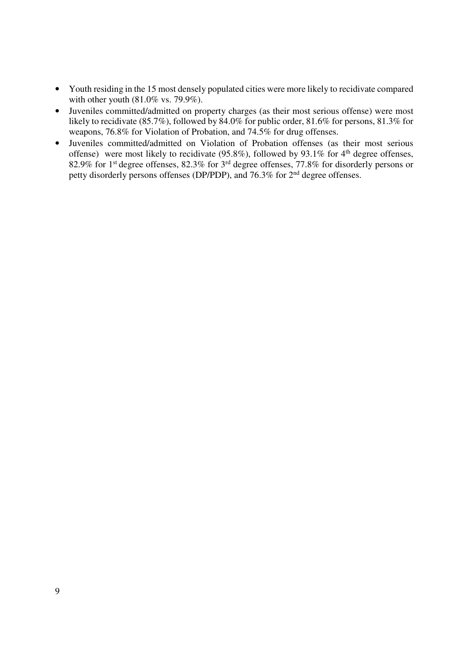- Youth residing in the 15 most densely populated cities were more likely to recidivate compared with other youth (81.0% vs. 79.9%).
- Juveniles committed/admitted on property charges (as their most serious offense) were most likely to recidivate (85.7%), followed by 84.0% for public order, 81.6% for persons, 81.3% for weapons, 76.8% for Violation of Probation, and 74.5% for drug offenses.
- Juveniles committed/admitted on Violation of Probation offenses (as their most serious offense) were most likely to recidivate  $(95.8\%)$ , followed by  $93.1\%$  for  $4<sup>th</sup>$  degree offenses, 82.9% for 1st degree offenses, 82.3% for 3rd degree offenses, 77.8% for disorderly persons or petty disorderly persons offenses (DP/PDP), and 76.3% for 2nd degree offenses.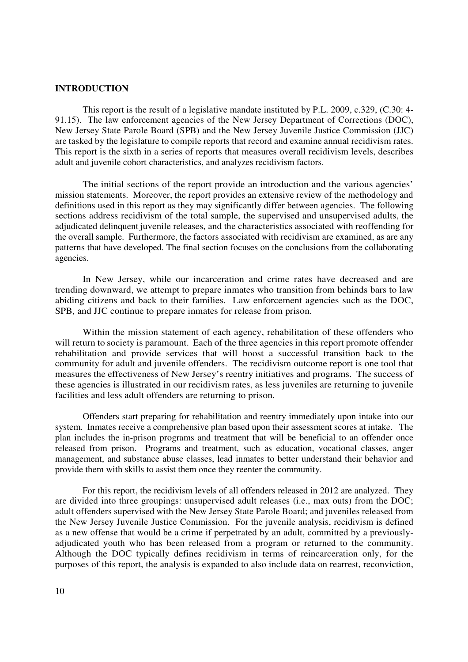#### **INTRODUCTION**

This report is the result of a legislative mandate instituted by P.L. 2009, c.329, (C.30: 4- 91.15). The law enforcement agencies of the New Jersey Department of Corrections (DOC), New Jersey State Parole Board (SPB) and the New Jersey Juvenile Justice Commission (JJC) are tasked by the legislature to compile reports that record and examine annual recidivism rates. This report is the sixth in a series of reports that measures overall recidivism levels, describes adult and juvenile cohort characteristics, and analyzes recidivism factors.

The initial sections of the report provide an introduction and the various agencies' mission statements. Moreover, the report provides an extensive review of the methodology and definitions used in this report as they may significantly differ between agencies. The following sections address recidivism of the total sample, the supervised and unsupervised adults, the adjudicated delinquent juvenile releases, and the characteristics associated with reoffending for the overall sample. Furthermore, the factors associated with recidivism are examined, as are any patterns that have developed. The final section focuses on the conclusions from the collaborating agencies.

In New Jersey, while our incarceration and crime rates have decreased and are trending downward, we attempt to prepare inmates who transition from behinds bars to law abiding citizens and back to their families. Law enforcement agencies such as the DOC, SPB, and JJC continue to prepare inmates for release from prison.

Within the mission statement of each agency, rehabilitation of these offenders who will return to society is paramount. Each of the three agencies in this report promote offender rehabilitation and provide services that will boost a successful transition back to the community for adult and juvenile offenders. The recidivism outcome report is one tool that measures the effectiveness of New Jersey's reentry initiatives and programs. The success of these agencies is illustrated in our recidivism rates, as less juveniles are returning to juvenile facilities and less adult offenders are returning to prison.

Offenders start preparing for rehabilitation and reentry immediately upon intake into our system. Inmates receive a comprehensive plan based upon their assessment scores at intake. The plan includes the in-prison programs and treatment that will be beneficial to an offender once released from prison. Programs and treatment, such as education, vocational classes, anger management, and substance abuse classes, lead inmates to better understand their behavior and provide them with skills to assist them once they reenter the community.

For this report, the recidivism levels of all offenders released in 2012 are analyzed. They are divided into three groupings: unsupervised adult releases (i.e., max outs) from the DOC; adult offenders supervised with the New Jersey State Parole Board; and juveniles released from the New Jersey Juvenile Justice Commission. For the juvenile analysis, recidivism is defined as a new offense that would be a crime if perpetrated by an adult, committed by a previouslyadjudicated youth who has been released from a program or returned to the community. Although the DOC typically defines recidivism in terms of reincarceration only, for the purposes of this report, the analysis is expanded to also include data on rearrest, reconviction,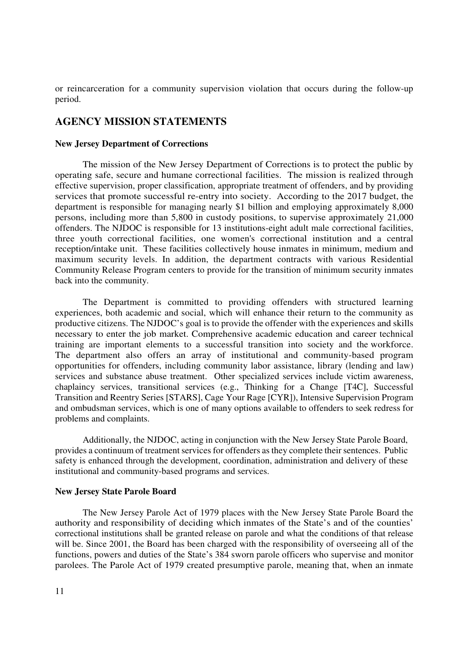or reincarceration for a community supervision violation that occurs during the follow-up period.

## **AGENCY MISSION STATEMENTS**

#### **New Jersey Department of Corrections**

The mission of the New Jersey Department of Corrections is to protect the public by operating safe, secure and humane correctional facilities. The mission is realized through effective supervision, proper classification, appropriate treatment of offenders, and by providing services that promote successful re-entry into society. According to the 2017 budget, the department is responsible for managing nearly \$1 billion and employing approximately 8,000 persons, including more than 5,800 in custody positions, to supervise approximately 21,000 offenders. The NJDOC is responsible for 13 institutions-eight adult male correctional facilities, three youth correctional facilities, one women's correctional institution and a central reception/intake unit. These facilities collectively house inmates in minimum, medium and maximum security levels. In addition, the department contracts with various Residential Community Release Program centers to provide for the transition of minimum security inmates back into the community.

The Department is committed to providing offenders with structured learning experiences, both academic and social, which will enhance their return to the community as productive citizens. The NJDOC's goal is to provide the offender with the experiences and skills necessary to enter the job market. Comprehensive academic education and career technical training are important elements to a successful transition into society and the workforce. The department also offers an array of institutional and community-based program opportunities for offenders, including community labor assistance, library (lending and law) services and substance abuse treatment. Other specialized services include victim awareness, chaplaincy services, transitional services (e.g., Thinking for a Change [T4C], Successful Transition and Reentry Series [STARS], Cage Your Rage [CYR]), Intensive Supervision Program and ombudsman services, which is one of many options available to offenders to seek redress for problems and complaints.

 Additionally, the NJDOC, acting in conjunction with the New Jersey State Parole Board, provides a continuum of treatment services for offenders as they complete their sentences. Public safety is enhanced through the development, coordination, administration and delivery of these institutional and community-based programs and services.

#### **New Jersey State Parole Board**

The New Jersey Parole Act of 1979 places with the New Jersey State Parole Board the authority and responsibility of deciding which inmates of the State's and of the counties' correctional institutions shall be granted release on parole and what the conditions of that release will be. Since 2001, the Board has been charged with the responsibility of overseeing all of the functions, powers and duties of the State's 384 sworn parole officers who supervise and monitor parolees. The Parole Act of 1979 created presumptive parole, meaning that, when an inmate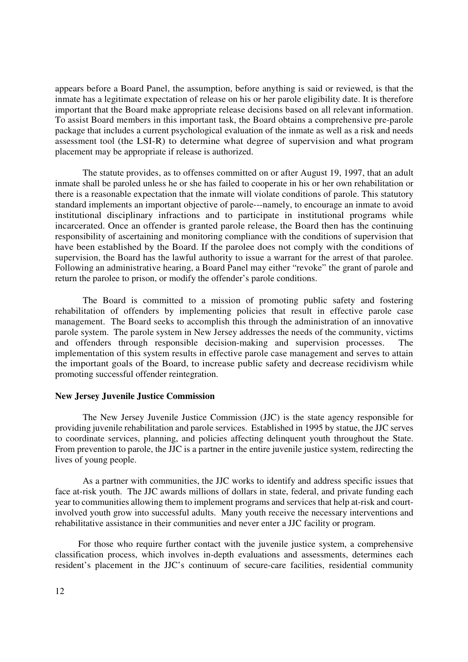appears before a Board Panel, the assumption, before anything is said or reviewed, is that the inmate has a legitimate expectation of release on his or her parole eligibility date. It is therefore important that the Board make appropriate release decisions based on all relevant information. To assist Board members in this important task, the Board obtains a comprehensive pre-parole package that includes a current psychological evaluation of the inmate as well as a risk and needs assessment tool (the LSI-R) to determine what degree of supervision and what program placement may be appropriate if release is authorized.

The statute provides, as to offenses committed on or after August 19, 1997, that an adult inmate shall be paroled unless he or she has failed to cooperate in his or her own rehabilitation or there is a reasonable expectation that the inmate will violate conditions of parole. This statutory standard implements an important objective of parole---namely, to encourage an inmate to avoid institutional disciplinary infractions and to participate in institutional programs while incarcerated. Once an offender is granted parole release, the Board then has the continuing responsibility of ascertaining and monitoring compliance with the conditions of supervision that have been established by the Board. If the parolee does not comply with the conditions of supervision, the Board has the lawful authority to issue a warrant for the arrest of that parolee. Following an administrative hearing, a Board Panel may either "revoke" the grant of parole and return the parolee to prison, or modify the offender's parole conditions.

The Board is committed to a mission of promoting public safety and fostering rehabilitation of offenders by implementing policies that result in effective parole case management. The Board seeks to accomplish this through the administration of an innovative parole system. The parole system in New Jersey addresses the needs of the community, victims and offenders through responsible decision-making and supervision processes. The implementation of this system results in effective parole case management and serves to attain the important goals of the Board, to increase public safety and decrease recidivism while promoting successful offender reintegration.

#### **New Jersey Juvenile Justice Commission**

The New Jersey Juvenile Justice Commission (JJC) is the state agency responsible for providing juvenile rehabilitation and parole services. Established in 1995 by statue, the JJC serves to coordinate services, planning, and policies affecting delinquent youth throughout the State. From prevention to parole, the JJC is a partner in the entire juvenile justice system, redirecting the lives of young people.

 As a partner with communities, the JJC works to identify and address specific issues that face at-risk youth. The JJC awards millions of dollars in state, federal, and private funding each year to communities allowing them to implement programs and services that help at-risk and courtinvolved youth grow into successful adults. Many youth receive the necessary interventions and rehabilitative assistance in their communities and never enter a JJC facility or program.

 For those who require further contact with the juvenile justice system, a comprehensive classification process, which involves in-depth evaluations and assessments, determines each resident's placement in the JJC's continuum of secure-care facilities, residential community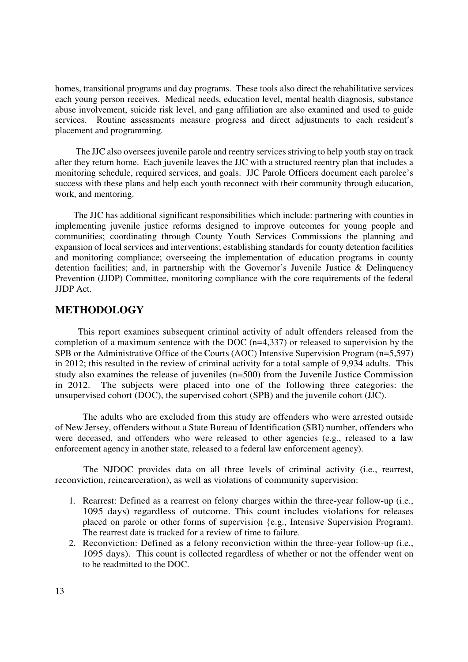homes, transitional programs and day programs. These tools also direct the rehabilitative services each young person receives. Medical needs, education level, mental health diagnosis, substance abuse involvement, suicide risk level, and gang affiliation are also examined and used to guide services. Routine assessments measure progress and direct adjustments to each resident's placement and programming.

 The JJC also oversees juvenile parole and reentry services striving to help youth stay on track after they return home. Each juvenile leaves the JJC with a structured reentry plan that includes a monitoring schedule, required services, and goals. JJC Parole Officers document each parolee's success with these plans and help each youth reconnect with their community through education, work, and mentoring.

 The JJC has additional significant responsibilities which include: partnering with counties in implementing juvenile justice reforms designed to improve outcomes for young people and communities; coordinating through County Youth Services Commissions the planning and expansion of local services and interventions; establishing standards for county detention facilities and monitoring compliance; overseeing the implementation of education programs in county detention facilities; and, in partnership with the Governor's Juvenile Justice & Delinquency Prevention (JJDP) Committee, monitoring compliance with the core requirements of the federal JJDP Act.

### **METHODOLOGY**

This report examines subsequent criminal activity of adult offenders released from the completion of a maximum sentence with the DOC (n=4,337) or released to supervision by the SPB or the Administrative Office of the Courts (AOC) Intensive Supervision Program (n=5,597) in 2012; this resulted in the review of criminal activity for a total sample of 9,934 adults. This study also examines the release of juveniles (n=500) from the Juvenile Justice Commission in 2012. The subjects were placed into one of the following three categories: the unsupervised cohort (DOC), the supervised cohort (SPB) and the juvenile cohort (JJC).

The adults who are excluded from this study are offenders who were arrested outside of New Jersey, offenders without a State Bureau of Identification (SBI) number, offenders who were deceased, and offenders who were released to other agencies (e.g., released to a law enforcement agency in another state, released to a federal law enforcement agency).

The NJDOC provides data on all three levels of criminal activity (i.e., rearrest, reconviction, reincarceration), as well as violations of community supervision:

- 1. Rearrest: Defined as a rearrest on felony charges within the three-year follow-up (i.e., 1095 days) regardless of outcome. This count includes violations for releases placed on parole or other forms of supervision {e.g., Intensive Supervision Program). The rearrest date is tracked for a review of time to failure.
- 2. Reconviction: Defined as a felony reconviction within the three-year follow-up (i.e., 1095 days). This count is collected regardless of whether or not the offender went on to be readmitted to the DOC.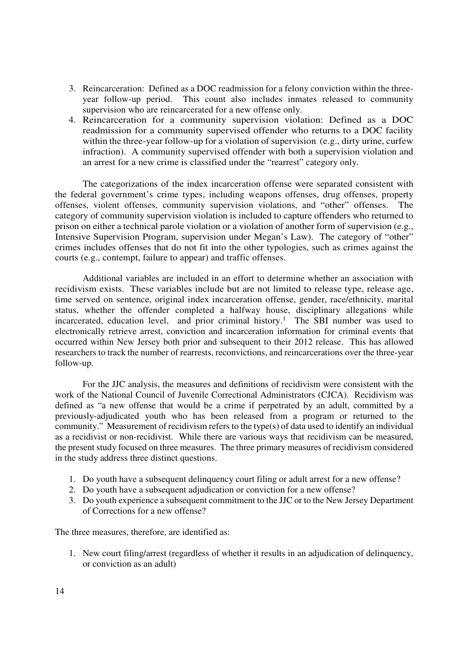- 3. Reincarceration: Defined as a DOC readmission for a felony conviction within the threeyear follow-up period. This count also includes inmates released to community supervision who are reincarcerated for a new offense only.
- 4. Reincarceration for a community supervision violation: Defined as a DOC readmission for a community supervised offender who returns to a DOC facility within the three-year follow-up for a violation of supervision (e.g., dirty urine, curfew infraction). A community supervised offender with both a supervision violation and an arrest for a new crime is classified under the "rearrest" category only.

The categorizations of the index incarceration offense were separated consistent with the federal government's crime types, including weapons offenses, drug offenses, property offenses, violent offenses, community supervision violations, and "other" offenses. category of community supervision violation is included to capture offenders who returned to prison on either a technical parole violation or a violation of another form of supervision (e.g., Intensive Supervision Program, supervision under Megan's Law). The category of "other" crimes includes offenses that do not fit into the other typologies, such as crimes against the courts (e.g., contempt, failure to appear) and traffic offenses.

Additional variables are included in an effort to determine whether an association with recidivism exists. These variables include but are not limited to release type, release age, time served on sentence, original index incarceration offense, gender, race/ethnicity, marital status, whether the offender completed a halfway house, disciplinary allegations while incarcerated, education level, and prior criminal history.<sup>1</sup> The SBI number was used to electronically retrieve arrest, conviction and incarceration information for criminal events that occurred within New Jersey both prior and subsequent to their 2012 release. This has allowed researchers to track the number of rearrests, reconvictions, and reincarcerations over the three-year follow-up.

For the JJC analysis, the measures and definitions of recidivism were consistent with the work of the National Council of Juvenile Correctional Administrators (CJCA). Recidivism was defined as "a new offense that would be a crime if perpetrated by an adult, committed by a previously-adjudicated youth who has been released from a program or returned to the community." Measurement of recidivism refers to the type(s) of data used to identify an individual as a recidivist or non-recidivist. While there are various ways that recidivism can be measured, the present study focused on three measures. The three primary measures of recidivism considered in the study address three distinct questions.

- 1. Do youth have a subsequent delinquency court filing or adult arrest for a new offense?
- 2. Do youth have a subsequent adjudication or conviction for a new offense?
- 3. Do youth experience a subsequent commitment to the JJC or to the New Jersey Department of Corrections for a new offense?

The three measures, therefore, are identified as:

1. New court filing/arrest (regardless of whether it results in an adjudication of delinquency, or conviction as an adult)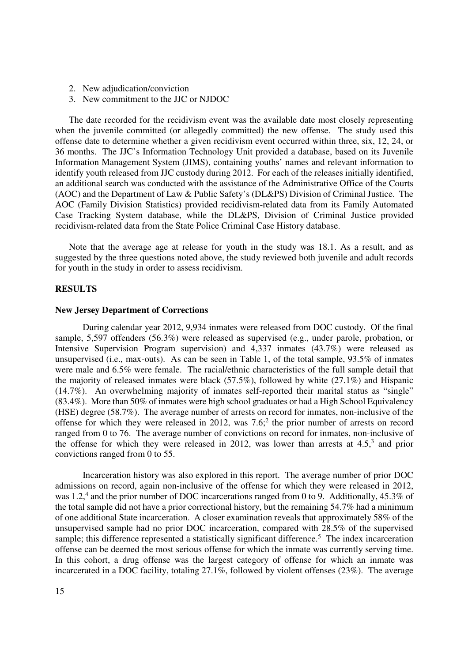- 2. New adjudication/conviction
- 3. New commitment to the JJC or NJDOC

The date recorded for the recidivism event was the available date most closely representing when the juvenile committed (or allegedly committed) the new offense. The study used this offense date to determine whether a given recidivism event occurred within three, six, 12, 24, or 36 months. The JJC's Information Technology Unit provided a database, based on its Juvenile Information Management System (JIMS), containing youths' names and relevant information to identify youth released from JJC custody during 2012. For each of the releases initially identified, an additional search was conducted with the assistance of the Administrative Office of the Courts (AOC) and the Department of Law & Public Safety's (DL&PS) Division of Criminal Justice. The AOC (Family Division Statistics) provided recidivism-related data from its Family Automated Case Tracking System database, while the DL&PS, Division of Criminal Justice provided recidivism-related data from the State Police Criminal Case History database.

Note that the average age at release for youth in the study was 18.1. As a result, and as suggested by the three questions noted above, the study reviewed both juvenile and adult records for youth in the study in order to assess recidivism.

#### **RESULTS**

#### **New Jersey Department of Corrections**

During calendar year 2012, 9,934 inmates were released from DOC custody. Of the final sample, 5,597 offenders (56.3%) were released as supervised (e.g., under parole, probation, or Intensive Supervision Program supervision) and 4,337 inmates (43.7%) were released as unsupervised (i.e., max-outs). As can be seen in Table 1, of the total sample, 93.5% of inmates were male and 6.5% were female. The racial/ethnic characteristics of the full sample detail that the majority of released inmates were black (57.5%), followed by white (27.1%) and Hispanic (14.7%). An overwhelming majority of inmates self-reported their marital status as "single" (83.4%). More than 50% of inmates were high school graduates or had a High School Equivalency (HSE) degree (58.7%). The average number of arrests on record for inmates, non-inclusive of the offense for which they were released in 2012, was  $7.6$ ; the prior number of arrests on record ranged from 0 to 76. The average number of convictions on record for inmates, non-inclusive of the offense for which they were released in 2012, was lower than arrests at 4.5,<sup>3</sup> and prior convictions ranged from 0 to 55.

Incarceration history was also explored in this report. The average number of prior DOC admissions on record, again non-inclusive of the offense for which they were released in 2012, was 1.2,<sup>4</sup> and the prior number of DOC incarcerations ranged from 0 to 9. Additionally, 45.3% of the total sample did not have a prior correctional history, but the remaining 54.7% had a minimum of one additional State incarceration. A closer examination reveals that approximately 58% of the unsupervised sample had no prior DOC incarceration, compared with 28.5% of the supervised sample; this difference represented a statistically significant difference.<sup>5</sup> The index incarceration offense can be deemed the most serious offense for which the inmate was currently serving time. In this cohort, a drug offense was the largest category of offense for which an inmate was incarcerated in a DOC facility, totaling 27.1%, followed by violent offenses (23%). The average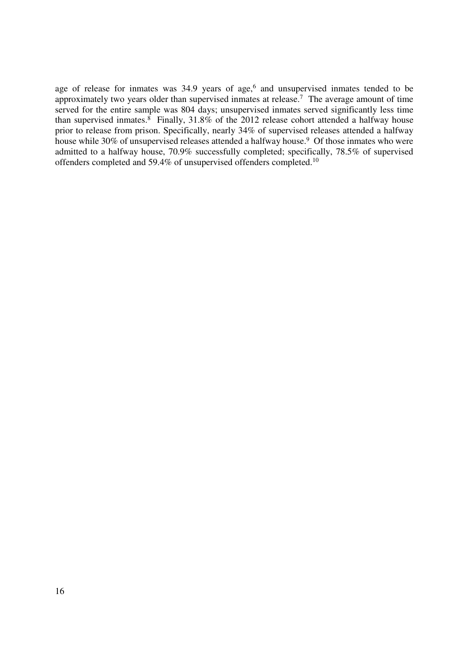age of release for inmates was  $34.9$  years of age,<sup>6</sup> and unsupervised inmates tended to be approximately two years older than supervised inmates at release.<sup>7</sup> The average amount of time served for the entire sample was 804 days; unsupervised inmates served significantly less time than supervised inmates.<sup>8</sup> Finally,  $31.8\%$  of the 2012 release cohort attended a halfway house prior to release from prison. Specifically, nearly 34% of supervised releases attended a halfway house while 30% of unsupervised releases attended a halfway house.<sup>9</sup> Of those inmates who were admitted to a halfway house, 70.9% successfully completed; specifically, 78.5% of supervised offenders completed and 59.4% of unsupervised offenders completed.<sup>10</sup>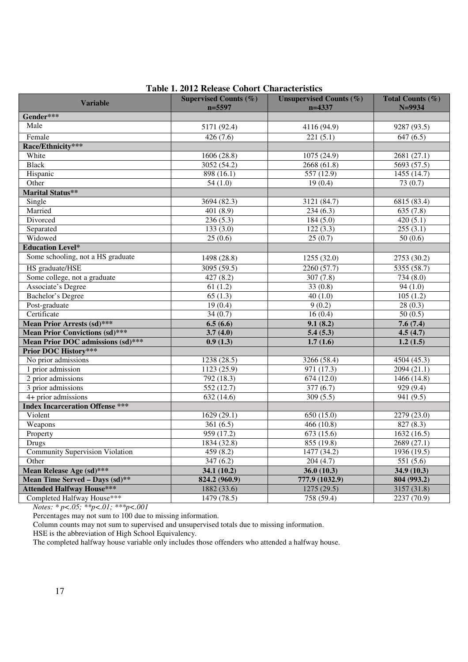| <b>Variable</b>                        | <b>Supervised Counts (%)</b><br>$n=5597$ | <b>Unsupervised Counts (%)</b><br>$n=4337$ | Total Counts (%)<br>$N = 9934$ |
|----------------------------------------|------------------------------------------|--------------------------------------------|--------------------------------|
| Gender***                              |                                          |                                            |                                |
| Male                                   | 5171 (92.4)                              | 4116 (94.9)                                | 9287 (93.5)                    |
| Female                                 | 426(7.6)                                 | 221(5.1)                                   | 647(6.5)                       |
| Race/Ethnicity***                      |                                          |                                            |                                |
| White                                  | 1606(28.8)                               | 1075(24.9)                                 | 2681(27.1)                     |
| <b>Black</b>                           | 3052 (54.2)                              | 2668 (61.8)                                | 5693 (57.5)                    |
| Hispanic                               | 898(16.1)                                | 557 (12.9)                                 | 1455 (14.7)                    |
| Other                                  | 54(1.0)                                  | 19(0.4)                                    | 73(0.7)                        |
| <b>Marital Status**</b>                |                                          |                                            |                                |
| Single                                 | 3694(82.3)                               | 3121(84.7)                                 | 6815(83.4)                     |
| Married                                | 401(8.9)                                 | 234(6.3)                                   | 635(7.8)                       |
| Divorced                               | 236(5.3)                                 | 184(5.0)                                   | 420(5.1)                       |
| Separated                              | 133(3.0)                                 | 122(3.3)                                   | 255(3.1)                       |
| Widowed                                | 25(0.6)                                  | 25(0.7)                                    | 50(0.6)                        |
| <b>Education Level*</b>                |                                          |                                            |                                |
| Some schooling, not a HS graduate      | 1498 (28.8)                              | 1255 (32.0)                                | 2753 (30.2)                    |
| HS graduate/HSE                        | 3095(59.5)                               | 2260(57.7)                                 | 5355(58.7)                     |
| Some college, not a graduate           | 427(8.2)                                 | 307(7.8)                                   | 734(8.0)                       |
| Associate's Degree                     | 61(1.2)                                  | 33(0.8)                                    | 94(1.0)                        |
| Bachelor's Degree                      | 65(1.3)                                  | 40(1.0)                                    | 105(1.2)                       |
| Post-graduate                          | 19(0.4)                                  | 9(0.2)                                     | 28(0.3)                        |
| Certificate                            | 34(0.7)                                  | 16(0.4)                                    | 50(0.5)                        |
| Mean Prior Arrests (sd)***             | 6.5(6.6)                                 | 9.1(8.2)                                   | 7.6(7.4)                       |
| <b>Mean Prior Convictions (sd)***</b>  | 3.7(4.0)                                 | 5.4(5.3)                                   | 4.5(4.7)                       |
| Mean Prior DOC admissions (sd)***      | 0.9(1.3)                                 | 1.7(1.6)                                   | 1.2(1.5)                       |
| <b>Prior DOC History***</b>            |                                          |                                            |                                |
| No prior admissions                    | 1238(28.5)                               | 3266(58.4)                                 | 4504 (45.3)                    |
| 1 prior admission                      | 1123(25.9)                               | 971(17.3)                                  | 2094(21.1)                     |
| 2 prior admissions                     | 792(18.3)                                | 674(12.0)                                  | 1466 (14.8)                    |
| 3 prior admissions                     | 552(12.7)                                | 377(6.7)                                   | 929(9.4)                       |
| 4+ prior admissions                    | 632(14.6)                                | 309(5.5)                                   | 941(9.5)                       |
| <b>Index Incarceration Offense ***</b> |                                          |                                            |                                |
| Violent                                | 1629(29.1)                               | 650 (15.0)                                 | 2279 (23.0)                    |
| Weapons                                | $\overline{361}(6.5)$                    | 466(10.8)                                  | 827(8.3)                       |
| Property                               | $\overline{959}$ (17.2)                  | 673(15.6)                                  | 1632(16.5)                     |
| <b>Drugs</b>                           | 1834 (32.8)                              | 855 (19.8)                                 | 2689 (27.1)                    |
| <b>Community Supervision Violation</b> | 459(8.2)                                 | 1477(34.2)                                 | 1936(19.5)                     |
| Other                                  | 347(6.2)                                 | 204(4.7)                                   | 551 (5.6)                      |
| Mean Release Age (sd)***               | 34.1 (10.2)                              | 36.0(10.3)                                 | 34.9 (10.3)                    |
| Mean Time Served - Days (sd)**         | 824.2 (960.9)                            | 777.9 (1032.9)                             | 804 (993.2)                    |
| <b>Attended Halfway House***</b>       | 1882 (33.6)                              | 1275 (29.5)                                | 3157(31.8)                     |
| Completed Halfway House***             | 1479 (78.5)                              | 758 (59.4)                                 | 2237 (70.9)                    |

#### **Table 1. 2012 Release Cohort Characteristics**

*Notes: \* p<.05; \*\*p<.01; \*\*\*p<.001* 

Percentages may not sum to 100 due to missing information.

Column counts may not sum to supervised and unsupervised totals due to missing information.

HSE is the abbreviation of High School Equivalency.

The completed halfway house variable only includes those offenders who attended a halfway house.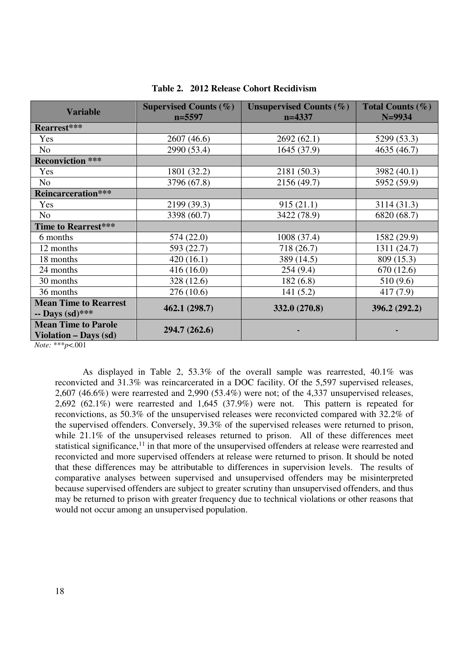| <b>Variable</b>              | Supervised Counts $(\% )$ | Unsupervised Counts $(\% )$ | Total Counts $(\% )$ |
|------------------------------|---------------------------|-----------------------------|----------------------|
|                              | $n = 5597$                | $n=4337$                    | $N = 9934$           |
| Rearrest***                  |                           |                             |                      |
| Yes                          | 2607 (46.6)               | 2692(62.1)                  | 5299 (53.3)          |
| N <sub>o</sub>               | 2990 (53.4)               | 1645 (37.9)                 | 4635 (46.7)          |
| <b>Reconviction ***</b>      |                           |                             |                      |
| Yes                          | 1801 (32.2)               | 2181 (50.3)                 | 3982 (40.1)          |
| N <sub>o</sub>               | 3796 (67.8)               | 2156 (49.7)                 | 5952 (59.9)          |
| <b>Reincarceration***</b>    |                           |                             |                      |
| Yes                          | 2199 (39.3)               | 915(21.1)                   | 3114 (31.3)          |
| N <sub>o</sub>               | 3398 (60.7)               | 3422 (78.9)                 | 6820 (68.7)          |
| Time to Rearrest***          |                           |                             |                      |
| 6 months                     | 574(22.0)                 | 1008 (37.4)                 | 1582 (29.9)          |
| 12 months                    | 593 (22.7)                | 718 (26.7)                  | 1311 (24.7)          |
| 18 months                    | 420(16.1)                 | 389 (14.5)                  | 809 (15.3)           |
| 24 months                    | 416(16.0)                 | 254(9.4)                    | 670 (12.6)           |
| 30 months                    | 328 (12.6)                | 182(6.8)                    | 510 (9.6)            |
| 36 months                    | 276 (10.6)                | 141(5.2)                    | 417 (7.9)            |
| <b>Mean Time to Rearrest</b> |                           |                             |                      |
| -- Days $(sd)$ ***           | 462.1 (298.7)             | 332.0 (270.8)               | 396.2 (292.2)        |
| <b>Mean Time to Parole</b>   |                           |                             |                      |
| Violation - Days (sd)        | 294.7 (262.6)             |                             |                      |

| Table 2. 2012 Release Cohort Recidivism |  |
|-----------------------------------------|--|
|-----------------------------------------|--|

*Note:* \*\*\**p*<.001

As displayed in Table 2, 53.3% of the overall sample was rearrested, 40.1% was reconvicted and 31.3% was reincarcerated in a DOC facility. Of the 5,597 supervised releases, 2,607 (46.6%) were rearrested and 2,990 (53.4%) were not; of the 4,337 unsupervised releases, 2,692 (62.1%) were rearrested and 1,645 (37.9%) were not. This pattern is repeated for reconvictions, as 50.3% of the unsupervised releases were reconvicted compared with 32.2% of the supervised offenders. Conversely, 39.3% of the supervised releases were returned to prison, while 21.1% of the unsupervised releases returned to prison. All of these differences meet statistical significance,<sup>11</sup> in that more of the unsupervised offenders at release were rearrested and reconvicted and more supervised offenders at release were returned to prison. It should be noted that these differences may be attributable to differences in supervision levels. The results of comparative analyses between supervised and unsupervised offenders may be misinterpreted because supervised offenders are subject to greater scrutiny than unsupervised offenders, and thus may be returned to prison with greater frequency due to technical violations or other reasons that would not occur among an unsupervised population.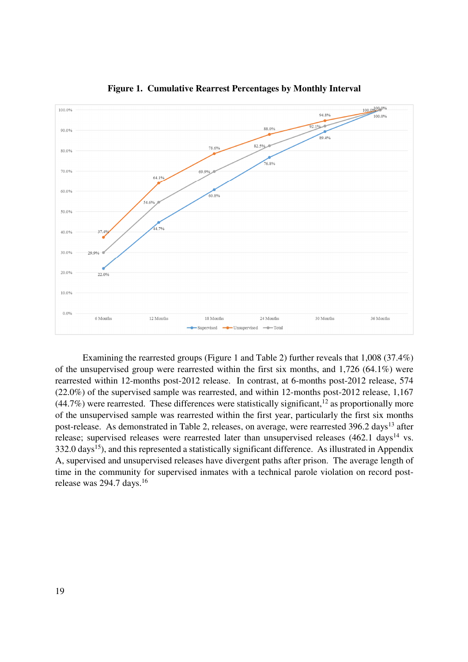

**Figure 1. Cumulative Rearrest Percentages by Monthly Interval** 

Examining the rearrested groups (Figure 1 and Table 2) further reveals that 1,008 (37.4%) of the unsupervised group were rearrested within the first six months, and 1,726 (64.1%) were rearrested within 12-months post-2012 release. In contrast, at 6-months post-2012 release, 574 (22.0%) of the supervised sample was rearrested, and within 12-months post-2012 release, 1,167  $(44.7%)$  were rearrested. These differences were statistically significant,<sup>12</sup> as proportionally more of the unsupervised sample was rearrested within the first year, particularly the first six months post-release. As demonstrated in Table 2, releases, on average, were rearrested 396.2 days<sup>13</sup> after release; supervised releases were rearrested later than unsupervised releases  $(462.1 \text{ days}^{14} \text{ vs.})$ 332.0 days<sup>15</sup>), and this represented a statistically significant difference. As illustrated in Appendix A, supervised and unsupervised releases have divergent paths after prison. The average length of time in the community for supervised inmates with a technical parole violation on record postrelease was 294.7 days.<sup>16</sup>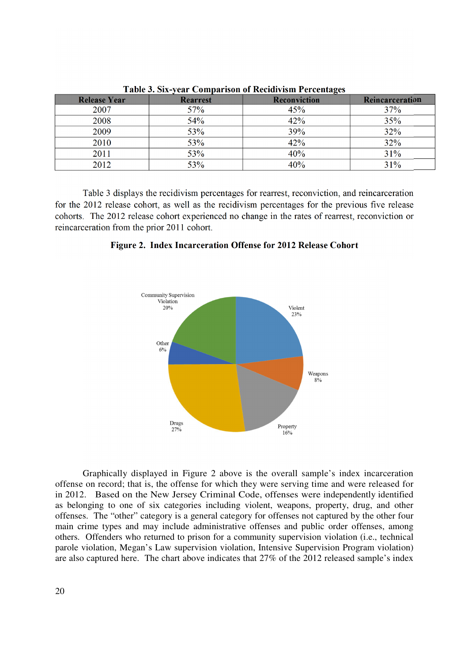| <b>Release Year</b> | <b>Rearrest</b> | -<br><b>Reconviction</b> | Reincarceration |
|---------------------|-----------------|--------------------------|-----------------|
| 2007                | 57%             | 45%                      | 37%             |
| 2008                | 54%             | 42%                      | 35%             |
| 2009                | 53%             | 39%                      | 32%             |
| 2010                | 53%             | 42%                      | 32%             |
| 2011                | 53%             | 40%                      | 31%             |
| 2012                | 53%             | 40%                      | 31%             |

**Table 3. Six-year Comparison of Recidivism Percentages** 

Table 3 displays the recidivism percentages for rearrest, reconviction, and reincarceration for the 2012 release cohort, as well as the recidivism percentages for the previous five release cohorts. The 2012 release cohort experienced no change in the rates of rearrest, reconviction or reincarceration from the prior 2011 cohort.

**Figure 2. Index Incarceration Offense for 2012 Release Cohort** 



Graphically displayed in Figure 2 above is the overall sample's index incarceration offense on record; that is, the offense for which they were serving time and were released for in 2012. Based on the New Jersey Criminal Code, offenses were independently identified as belonging to one of six categories including violent, weapons, property, drug, and other offenses. The "other" category is a general category for offenses not captured by the other four main crime types and may include administrative offenses and public order offenses, among others. Offenders who returned to prison for a community supervision violation (i.e., technical parole violation, Megan's Law supervision violation, Intensive Supervision Program violation) are also captured here. The chart above indicates that 27% of the 2012 released sample's index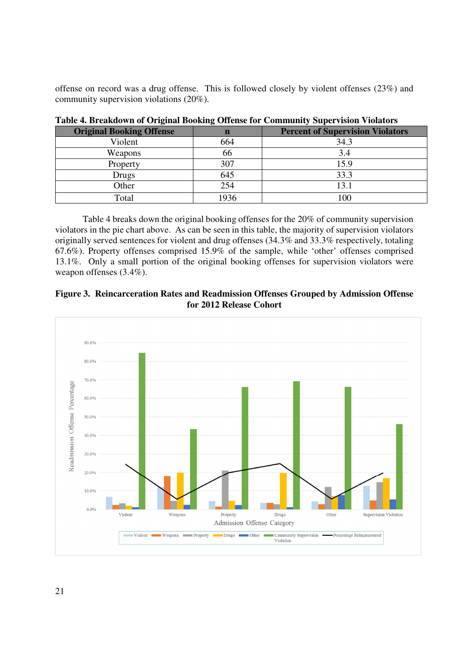offense on record was a drug offense. This is followed closely by violent offenses (23%) and community supervision violations (20%).

| <b>Original Booking Offense</b> | n    | <b>Percent of Supervision Violators</b> |  |
|---------------------------------|------|-----------------------------------------|--|
| Violent                         | 664  | 34.3                                    |  |
| Weapons                         | 66   | 3.4                                     |  |
| Property                        | 307  | 15.9                                    |  |
| Drugs                           | 645  | 33.3                                    |  |
| Other                           | 254  | 13.1                                    |  |
| Total                           | 1936 | 100                                     |  |

**Table 4. Breakdown of Original Booking Offense for Community Supervision Violators** 

Table 4 breaks down the original booking offenses for the 20% of community supervision violators in the pie chart above. As can be seen in this table, the majority of supervision violators originally served sentences for violent and drug offenses (34.3% and 33.3% respectively, totaling 67.6%). Property offenses comprised 15.9% of the sample, while 'other' offenses comprised 13.1%. Only a small portion of the original booking offenses for supervision violators were weapon offenses (3.4%).

### **Figure 3. Reincarceration Rates and Readmission Offenses Grouped by Admission Offense for 2012 Release Cohort**

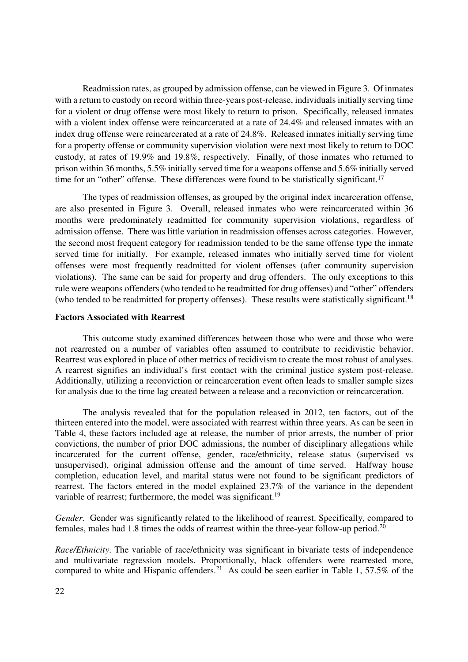Readmission rates, as grouped by admission offense, can be viewed in Figure 3. Of inmates with a return to custody on record within three-years post-release, individuals initially serving time for a violent or drug offense were most likely to return to prison. Specifically, released inmates with a violent index offense were reincarcerated at a rate of 24.4% and released inmates with an index drug offense were reincarcerated at a rate of 24.8%. Released inmates initially serving time for a property offense or community supervision violation were next most likely to return to DOC custody, at rates of 19.9% and 19.8%, respectively. Finally, of those inmates who returned to prison within 36 months, 5.5% initially served time for a weapons offense and 5.6% initially served time for an "other" offense. These differences were found to be statistically significant.<sup>17</sup>

The types of readmission offenses, as grouped by the original index incarceration offense, are also presented in Figure 3. Overall, released inmates who were reincarcerated within 36 months were predominately readmitted for community supervision violations, regardless of admission offense. There was little variation in readmission offenses across categories. However, the second most frequent category for readmission tended to be the same offense type the inmate served time for initially. For example, released inmates who initially served time for violent offenses were most frequently readmitted for violent offenses (after community supervision violations). The same can be said for property and drug offenders. The only exceptions to this rule were weapons offenders (who tended to be readmitted for drug offenses) and "other" offenders (who tended to be readmitted for property offenses). These results were statistically significant.<sup>18</sup>

#### **Factors Associated with Rearrest**

This outcome study examined differences between those who were and those who were not rearrested on a number of variables often assumed to contribute to recidivistic behavior. Rearrest was explored in place of other metrics of recidivism to create the most robust of analyses. A rearrest signifies an individual's first contact with the criminal justice system post-release. Additionally, utilizing a reconviction or reincarceration event often leads to smaller sample sizes for analysis due to the time lag created between a release and a reconviction or reincarceration.

The analysis revealed that for the population released in 2012, ten factors, out of the thirteen entered into the model, were associated with rearrest within three years. As can be seen in Table 4, these factors included age at release, the number of prior arrests, the number of prior convictions, the number of prior DOC admissions, the number of disciplinary allegations while incarcerated for the current offense, gender, race/ethnicity, release status (supervised vs unsupervised), original admission offense and the amount of time served. Halfway house completion, education level, and marital status were not found to be significant predictors of rearrest. The factors entered in the model explained 23.7% of the variance in the dependent variable of rearrest; furthermore, the model was significant.<sup>19</sup>

*Gender.* Gender was significantly related to the likelihood of rearrest. Specifically, compared to females, males had 1.8 times the odds of rearrest within the three-year follow-up period.<sup>20</sup>

*Race/Ethnicity*. The variable of race/ethnicity was significant in bivariate tests of independence and multivariate regression models. Proportionally, black offenders were rearrested more, compared to white and Hispanic offenders.<sup>21</sup> As could be seen earlier in Table 1, 57.5% of the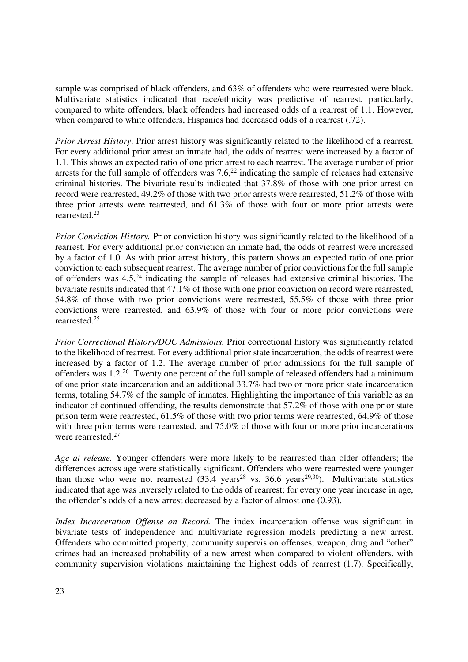sample was comprised of black offenders, and 63% of offenders who were rearrested were black. Multivariate statistics indicated that race/ethnicity was predictive of rearrest, particularly, compared to white offenders, black offenders had increased odds of a rearrest of 1.1. However, when compared to white offenders, Hispanics had decreased odds of a rearrest (.72).

*Prior Arrest History*. Prior arrest history was significantly related to the likelihood of a rearrest. For every additional prior arrest an inmate had, the odds of rearrest were increased by a factor of 1.1. This shows an expected ratio of one prior arrest to each rearrest. The average number of prior arrests for the full sample of offenders was  $7.6$ <sup>22</sup> indicating the sample of releases had extensive criminal histories. The bivariate results indicated that 37.8% of those with one prior arrest on record were rearrested, 49.2% of those with two prior arrests were rearrested, 51.2% of those with three prior arrests were rearrested, and 61.3% of those with four or more prior arrests were rearrested.<sup>23</sup>

*Prior Conviction History.* Prior conviction history was significantly related to the likelihood of a rearrest. For every additional prior conviction an inmate had, the odds of rearrest were increased by a factor of 1.0. As with prior arrest history, this pattern shows an expected ratio of one prior conviction to each subsequent rearrest. The average number of prior convictions for the full sample of offenders was  $4.5<sup>24</sup>$  indicating the sample of releases had extensive criminal histories. The bivariate results indicated that 47.1% of those with one prior conviction on record were rearrested, 54.8% of those with two prior convictions were rearrested, 55.5% of those with three prior convictions were rearrested, and 63.9% of those with four or more prior convictions were rearrested.<sup>25</sup>

*Prior Correctional History/DOC Admissions.* Prior correctional history was significantly related to the likelihood of rearrest. For every additional prior state incarceration, the odds of rearrest were increased by a factor of 1.2. The average number of prior admissions for the full sample of offenders was 1.2.<sup>26</sup> Twenty one percent of the full sample of released offenders had a minimum of one prior state incarceration and an additional 33.7% had two or more prior state incarceration terms, totaling 54.7% of the sample of inmates. Highlighting the importance of this variable as an indicator of continued offending, the results demonstrate that 57.2% of those with one prior state prison term were rearrested, 61.5% of those with two prior terms were rearrested, 64.9% of those with three prior terms were rearrested, and 75.0% of those with four or more prior incarcerations were rearrested.<sup>27</sup>

*Age at release.* Younger offenders were more likely to be rearrested than older offenders; the differences across age were statistically significant. Offenders who were rearrested were younger than those who were not rearrested  $(33.4 \text{ years}^{28} \text{ vs. } 36.6 \text{ years}^{29,30})$ . Multivariate statistics indicated that age was inversely related to the odds of rearrest; for every one year increase in age, the offender's odds of a new arrest decreased by a factor of almost one (0.93).

*Index Incarceration Offense on Record.* The index incarceration offense was significant in bivariate tests of independence and multivariate regression models predicting a new arrest. Offenders who committed property, community supervision offenses, weapon, drug and "other" crimes had an increased probability of a new arrest when compared to violent offenders, with community supervision violations maintaining the highest odds of rearrest (1.7). Specifically,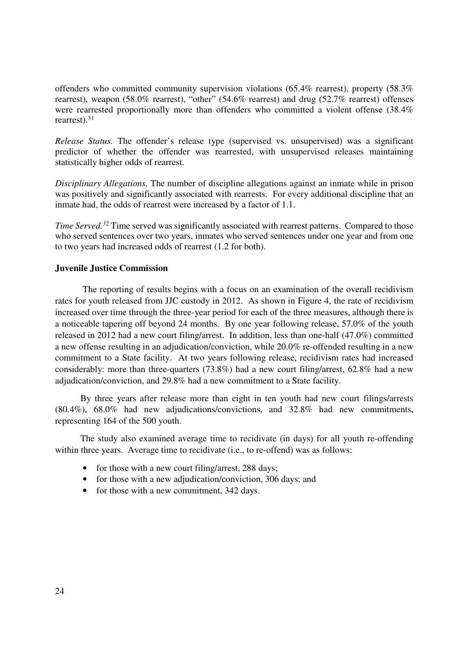offenders who committed community supervision violations (65.4% rearrest), property (58.3% rearrest), weapon (58.0% rearrest), "other" (54.6% rearrest) and drug (52.7% rearrest) offenses were rearrested proportionally more than offenders who committed a violent offense (38.4% rearrest). $31$ 

*Release Status.* The offender's release type (supervised vs. unsupervised) was a significant predictor of whether the offender was rearrested, with unsupervised releases maintaining statistically higher odds of rearrest.

*Disciplinary Allegations.* The number of discipline allegations against an inmate while in prison was positively and significantly associated with rearrests. For every additional discipline that an inmate had, the odds of rearrest were increased by a factor of 1.1.

*Time Served.*<sup>32</sup> Time served was significantly associated with rearrest patterns. Compared to those who served sentences over two years, inmates who served sentences under one year and from one to two years had increased odds of rearrest (1.2 for both).

#### **Juvenile Justice Commission**

 The reporting of results begins with a focus on an examination of the overall recidivism rates for youth released from JJC custody in 2012. As shown in Figure 4, the rate of recidivism increased over time through the three-year period for each of the three measures, although there is a noticeable tapering off beyond 24 months. By one year following release, 57.0% of the youth released in 2012 had a new court filing/arrest. In addition, less than one-half (47.0%) committed a new offense resulting in an adjudication/conviction, while 20.0% re-offended resulting in a new commitment to a State facility. At two years following release, recidivism rates had increased considerably: more than three-quarters (73.8%) had a new court filing/arrest, 62.8% had a new adjudication/conviction, and 29.8% had a new commitment to a State facility.

 By three years after release more than eight in ten youth had new court filings/arrests (80.4%), 68.0% had new adjudications/convictions, and 32.8% had new commitments, representing 164 of the 500 youth.

 The study also examined average time to recidivate (in days) for all youth re-offending within three years. Average time to recidivate (i.e., to re-offend) was as follows:

- for those with a new court filing/arrest, 288 days;
- for those with a new adjudication/conviction, 306 days; and
- for those with a new commitment, 342 days.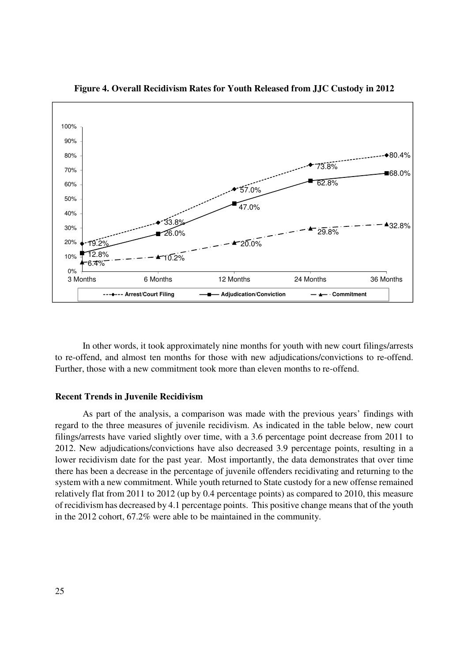

**Figure 4. Overall Recidivism Rates for Youth Released from JJC Custody in 2012** 

In other words, it took approximately nine months for youth with new court filings/arrests to re-offend, and almost ten months for those with new adjudications/convictions to re-offend. Further, those with a new commitment took more than eleven months to re-offend.

#### **Recent Trends in Juvenile Recidivism**

As part of the analysis, a comparison was made with the previous years' findings with regard to the three measures of juvenile recidivism. As indicated in the table below, new court filings/arrests have varied slightly over time, with a 3.6 percentage point decrease from 2011 to 2012. New adjudications/convictions have also decreased 3.9 percentage points, resulting in a lower recidivism date for the past year. Most importantly, the data demonstrates that over time there has been a decrease in the percentage of juvenile offenders recidivating and returning to the system with a new commitment. While youth returned to State custody for a new offense remained relatively flat from 2011 to 2012 (up by 0.4 percentage points) as compared to 2010, this measure of recidivism has decreased by 4.1 percentage points. This positive change means that of the youth in the 2012 cohort, 67.2% were able to be maintained in the community.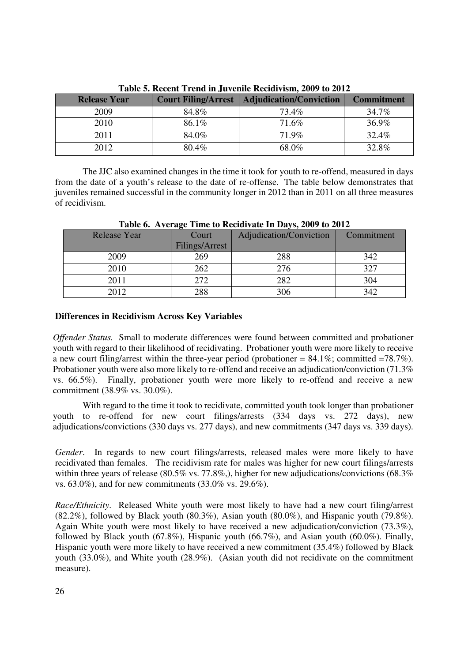| <b>Release Year</b> | <b>Court Filing/Arrest</b> | Adjudication/Conviction | <b>Commitment</b> |
|---------------------|----------------------------|-------------------------|-------------------|
| 2009                | 84.8%                      | 73.4%                   | 34.7%             |
| 2010                | 86.1%                      | 71.6%                   | 36.9%             |
| 2011                | 84.0%                      | 71.9%                   | 32.4%             |
| 2012                | 80.4%                      | 68.0%                   | 32.8%             |

**Table 5. Recent Trend in Juvenile Recidivism, 2009 to 2012** 

The JJC also examined changes in the time it took for youth to re-offend, measured in days from the date of a youth's release to the date of re-offense. The table below demonstrates that juveniles remained successful in the community longer in 2012 than in 2011 on all three measures of recidivism.

| Table of Trycrage Thire to recent rate in Days, 2002 to 2012 |                |                         |            |
|--------------------------------------------------------------|----------------|-------------------------|------------|
| <b>Release Year</b>                                          | Court          | Adjudication/Conviction | Commitment |
|                                                              | Filings/Arrest |                         |            |
| 2009                                                         | 269            | 288                     | 342        |
| 2010                                                         | 262            | 276                     | 327        |
| 2011                                                         | 272            | 282                     | 304        |
| 2012                                                         | 288            | 306                     | 342        |

**Table 6. Average Time to Recidivate In Days, 2009 to 2012** 

## **Differences in Recidivism Across Key Variables**

*Offender Status.* Small to moderate differences were found between committed and probationer youth with regard to their likelihood of recidivating. Probationer youth were more likely to receive a new court filing/arrest within the three-year period (probationer  $= 84.1\%$ ; committed  $= 78.7\%$ ). Probationer youth were also more likely to re-offend and receive an adjudication/conviction (71.3% vs. 66.5%). Finally, probationer youth were more likely to re-offend and receive a new commitment (38.9% vs. 30.0%).

With regard to the time it took to recidivate, committed youth took longer than probationer youth to re-offend for new court filings/arrests (334 days vs. 272 days), new adjudications/convictions (330 days vs. 277 days), and new commitments (347 days vs. 339 days).

*Gender*. In regards to new court filings/arrests, released males were more likely to have recidivated than females. The recidivism rate for males was higher for new court filings/arrests within three years of release (80.5% vs. 77.8%), higher for new adjudications/convictions (68.3%) vs. 63.0%), and for new commitments (33.0% vs. 29.6%).

*Race/Ethnicity*. Released White youth were most likely to have had a new court filing/arrest  $(82.2\%)$ , followed by Black youth  $(80.3\%)$ , Asian youth  $(80.0\%)$ , and Hispanic youth  $(79.8\%)$ . Again White youth were most likely to have received a new adjudication/conviction (73.3%), followed by Black youth (67.8%), Hispanic youth (66.7%), and Asian youth (60.0%). Finally, Hispanic youth were more likely to have received a new commitment (35.4%) followed by Black youth (33.0%), and White youth (28.9%). (Asian youth did not recidivate on the commitment measure).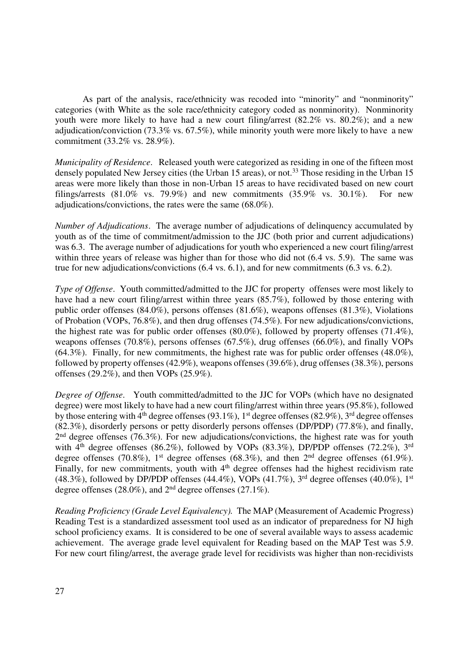As part of the analysis, race/ethnicity was recoded into "minority" and "nonminority" categories (with White as the sole race/ethnicity category coded as nonminority). Nonminority youth were more likely to have had a new court filing/arrest (82.2% vs. 80.2%); and a new adjudication/conviction (73.3% vs.  $67.5\%$ ), while minority youth were more likely to have a new commitment (33.2% vs. 28.9%).

*Municipality of Residence*. Released youth were categorized as residing in one of the fifteen most densely populated New Jersey cities (the Urban 15 areas), or not.<sup>33</sup> Those residing in the Urban 15 areas were more likely than those in non-Urban 15 areas to have recidivated based on new court filings/arrests  $(81.0\%$  vs. 79.9%) and new commitments  $(35.9\%$  vs. 30.1%). For new adjudications/convictions, the rates were the same (68.0%).

*Number of Adjudications*. The average number of adjudications of delinquency accumulated by youth as of the time of commitment/admission to the JJC (both prior and current adjudications) was 6.3. The average number of adjudications for youth who experienced a new court filing/arrest within three years of release was higher than for those who did not  $(6.4 \text{ vs. } 5.9)$ . The same was true for new adjudications/convictions (6.4 vs. 6.1), and for new commitments (6.3 vs. 6.2).

*Type of Offense*. Youth committed/admitted to the JJC for property offenses were most likely to have had a new court filing/arrest within three years (85.7%), followed by those entering with public order offenses (84.0%), persons offenses (81.6%), weapons offenses (81.3%), Violations of Probation (VOPs, 76.8%), and then drug offenses (74.5%). For new adjudications/convictions, the highest rate was for public order offenses (80.0%), followed by property offenses (71.4%), weapons offenses (70.8%), persons offenses (67.5%), drug offenses (66.0%), and finally VOPs  $(64.3\%)$ . Finally, for new commitments, the highest rate was for public order offenses  $(48.0\%)$ , followed by property offenses (42.9%), weapons offenses (39.6%), drug offenses (38.3%), persons offenses (29.2%), and then VOPs (25.9%).

*Degree of Offense*. Youth committed/admitted to the JJC for VOPs (which have no designated degree) were most likely to have had a new court filing/arrest within three years (95.8%), followed by those entering with 4<sup>th</sup> degree offenses (93.1%), 1<sup>st</sup> degree offenses (82.9%), 3<sup>rd</sup> degree offenses (82.3%), disorderly persons or petty disorderly persons offenses (DP/PDP) (77.8%), and finally,  $2<sup>nd</sup>$  degree offenses (76.3%). For new adjudications/convictions, the highest rate was for youth with  $4<sup>th</sup>$  degree offenses (86.2%), followed by VOPs (83.3%), DP/PDP offenses (72.2%), 3<sup>rd</sup> degree offenses (70.8%), 1<sup>st</sup> degree offenses (68.3%), and then  $2<sup>nd</sup>$  degree offenses (61.9%). Finally, for new commitments, youth with  $4<sup>th</sup>$  degree offenses had the highest recidivism rate (48.3%), followed by DP/PDP offenses (44.4%), VOPs (41.7%), 3<sup>rd</sup> degree offenses (40.0%), 1<sup>st</sup> degree offenses (28.0%), and 2nd degree offenses (27.1%).

*Reading Proficiency (Grade Level Equivalency).* The MAP (Measurement of Academic Progress) Reading Test is a standardized assessment tool used as an indicator of preparedness for NJ high school proficiency exams. It is considered to be one of several available ways to assess academic achievement. The average grade level equivalent for Reading based on the MAP Test was 5.9. For new court filing/arrest, the average grade level for recidivists was higher than non-recidivists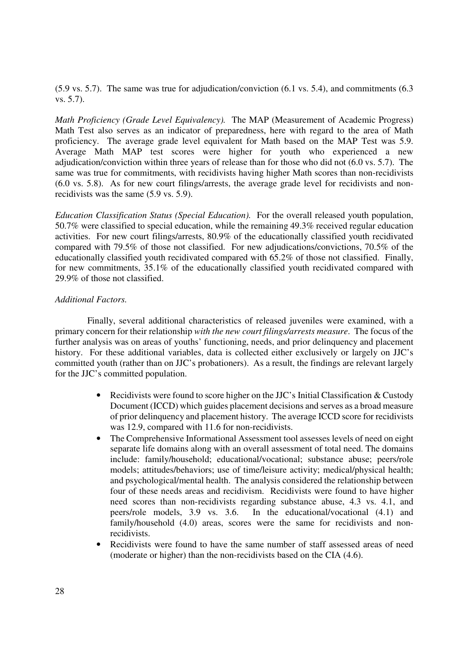(5.9 vs. 5.7). The same was true for adjudication/conviction (6.1 vs. 5.4), and commitments (6.3 vs. 5.7).

*Math Proficiency (Grade Level Equivalency).* The MAP (Measurement of Academic Progress) Math Test also serves as an indicator of preparedness, here with regard to the area of Math proficiency. The average grade level equivalent for Math based on the MAP Test was 5.9. Average Math MAP test scores were higher for youth who experienced a new adjudication/conviction within three years of release than for those who did not (6.0 vs. 5.7). The same was true for commitments, with recidivists having higher Math scores than non-recidivists (6.0 vs. 5.8). As for new court filings/arrests, the average grade level for recidivists and nonrecidivists was the same (5.9 vs. 5.9).

*Education Classification Status (Special Education).* For the overall released youth population, 50.7% were classified to special education, while the remaining 49.3% received regular education activities. For new court filings/arrests, 80.9% of the educationally classified youth recidivated compared with 79.5% of those not classified. For new adjudications/convictions, 70.5% of the educationally classified youth recidivated compared with 65.2% of those not classified. Finally, for new commitments, 35.1% of the educationally classified youth recidivated compared with 29.9% of those not classified.

#### *Additional Factors.*

 Finally, several additional characteristics of released juveniles were examined, with a primary concern for their relationship *with the new court filings/arrests measure*. The focus of the further analysis was on areas of youths' functioning, needs, and prior delinquency and placement history. For these additional variables, data is collected either exclusively or largely on JJC's committed youth (rather than on JJC's probationers). As a result, the findings are relevant largely for the JJC's committed population.

- Recidivists were found to score higher on the JJC's Initial Classification & Custody Document (ICCD) which guides placement decisions and serves as a broad measure of prior delinquency and placement history. The average ICCD score for recidivists was 12.9, compared with 11.6 for non-recidivists.
- The Comprehensive Informational Assessment tool assesses levels of need on eight separate life domains along with an overall assessment of total need. The domains include: family/household; educational/vocational; substance abuse; peers/role models; attitudes/behaviors; use of time/leisure activity; medical/physical health; and psychological/mental health. The analysis considered the relationship between four of these needs areas and recidivism. Recidivists were found to have higher need scores than non-recidivists regarding substance abuse, 4.3 vs. 4.1, and peers/role models, 3.9 vs. 3.6. In the educational/vocational (4.1) and family/household (4.0) areas, scores were the same for recidivists and nonrecidivists.
- Recidivists were found to have the same number of staff assessed areas of need (moderate or higher) than the non-recidivists based on the CIA (4.6).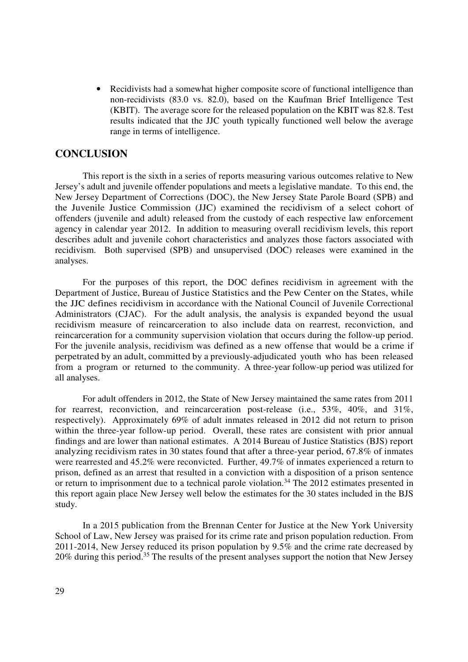• Recidivists had a somewhat higher composite score of functional intelligence than non-recidivists (83.0 vs. 82.0), based on the Kaufman Brief Intelligence Test (KBIT). The average score for the released population on the KBIT was 82.8. Test results indicated that the JJC youth typically functioned well below the average range in terms of intelligence.

## **CONCLUSION**

This report is the sixth in a series of reports measuring various outcomes relative to New Jersey's adult and juvenile offender populations and meets a legislative mandate. To this end, the New Jersey Department of Corrections (DOC), the New Jersey State Parole Board (SPB) and the Juvenile Justice Commission (JJC) examined the recidivism of a select cohort of offenders (juvenile and adult) released from the custody of each respective law enforcement agency in calendar year 2012. In addition to measuring overall recidivism levels, this report describes adult and juvenile cohort characteristics and analyzes those factors associated with recidivism. Both supervised (SPB) and unsupervised (DOC) releases were examined in the analyses.

For the purposes of this report, the DOC defines recidivism in agreement with the Department of Justice, Bureau of Justice Statistics and the Pew Center on the States, while the JJC defines recidivism in accordance with the National Council of Juvenile Correctional Administrators (CJAC). For the adult analysis, the analysis is expanded beyond the usual recidivism measure of reincarceration to also include data on rearrest, reconviction, and reincarceration for a community supervision violation that occurs during the follow-up period. For the juvenile analysis, recidivism was defined as a new offense that would be a crime if perpetrated by an adult, committed by a previously-adjudicated youth who has been released from a program or returned to the community. A three-year follow-up period was utilized for all analyses.

For adult offenders in 2012, the State of New Jersey maintained the same rates from 2011 for rearrest, reconviction, and reincarceration post-release (i.e., 53%, 40%, and 31%, respectively). Approximately 69% of adult inmates released in 2012 did not return to prison within the three-year follow-up period. Overall, these rates are consistent with prior annual findings and are lower than national estimates. A 2014 Bureau of Justice Statistics (BJS) report analyzing recidivism rates in 30 states found that after a three-year period, 67.8% of inmates were rearrested and 45.2% were reconvicted. Further, 49.7% of inmates experienced a return to prison, defined as an arrest that resulted in a conviction with a disposition of a prison sentence or return to imprisonment due to a technical parole violation.<sup>34</sup> The 2012 estimates presented in this report again place New Jersey well below the estimates for the 30 states included in the BJS study.

In a 2015 publication from the Brennan Center for Justice at the New York University School of Law, New Jersey was praised for its crime rate and prison population reduction. From 2011-2014, New Jersey reduced its prison population by 9.5% and the crime rate decreased by 20% during this period.35 The results of the present analyses support the notion that New Jersey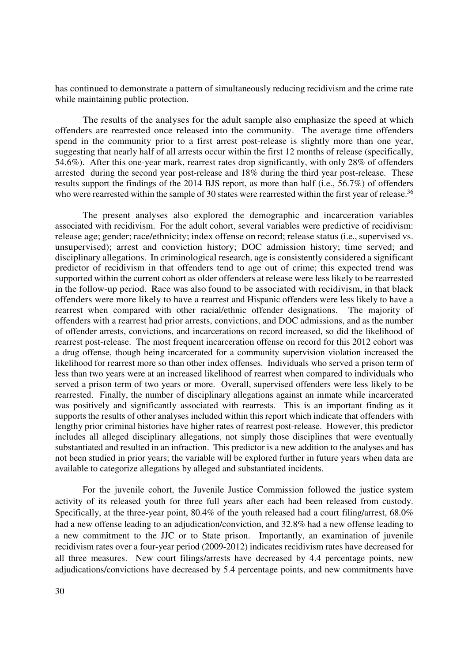has continued to demonstrate a pattern of simultaneously reducing recidivism and the crime rate while maintaining public protection.

The results of the analyses for the adult sample also emphasize the speed at which offenders are rearrested once released into the community. The average time offenders spend in the community prior to a first arrest post-release is slightly more than one year, suggesting that nearly half of all arrests occur within the first 12 months of release (specifically, 54.6%). After this one-year mark, rearrest rates drop significantly, with only 28% of offenders arrested during the second year post-release and 18% during the third year post-release. These results support the findings of the 2014 BJS report, as more than half (i.e., 56.7%) of offenders who were rearrested within the sample of 30 states were rearrested within the first year of release.<sup>36</sup>

The present analyses also explored the demographic and incarceration variables associated with recidivism. For the adult cohort, several variables were predictive of recidivism: release age; gender; race/ethnicity; index offense on record; release status (i.e., supervised vs. unsupervised); arrest and conviction history; DOC admission history; time served; and disciplinary allegations. In criminological research, age is consistently considered a significant predictor of recidivism in that offenders tend to age out of crime; this expected trend was supported within the current cohort as older offenders at release were less likely to be rearrested in the follow-up period. Race was also found to be associated with recidivism, in that black offenders were more likely to have a rearrest and Hispanic offenders were less likely to have a rearrest when compared with other racial/ethnic offender designations. The majority of offenders with a rearrest had prior arrests, convictions, and DOC admissions, and as the number of offender arrests, convictions, and incarcerations on record increased, so did the likelihood of rearrest post-release. The most frequent incarceration offense on record for this 2012 cohort was a drug offense, though being incarcerated for a community supervision violation increased the likelihood for rearrest more so than other index offenses. Individuals who served a prison term of less than two years were at an increased likelihood of rearrest when compared to individuals who served a prison term of two years or more. Overall, supervised offenders were less likely to be rearrested. Finally, the number of disciplinary allegations against an inmate while incarcerated was positively and significantly associated with rearrests. This is an important finding as it supports the results of other analyses included within this report which indicate that offenders with lengthy prior criminal histories have higher rates of rearrest post-release. However, this predictor includes all alleged disciplinary allegations, not simply those disciplines that were eventually substantiated and resulted in an infraction. This predictor is a new addition to the analyses and has not been studied in prior years; the variable will be explored further in future years when data are available to categorize allegations by alleged and substantiated incidents.

For the juvenile cohort, the Juvenile Justice Commission followed the justice system activity of its released youth for three full years after each had been released from custody. Specifically, at the three-year point, 80.4% of the youth released had a court filing/arrest, 68.0% had a new offense leading to an adjudication/conviction, and 32.8% had a new offense leading to a new commitment to the JJC or to State prison. Importantly, an examination of juvenile recidivism rates over a four-year period (2009-2012) indicates recidivism rates have decreased for all three measures. New court filings/arrests have decreased by 4.4 percentage points, new adjudications/convictions have decreased by 5.4 percentage points, and new commitments have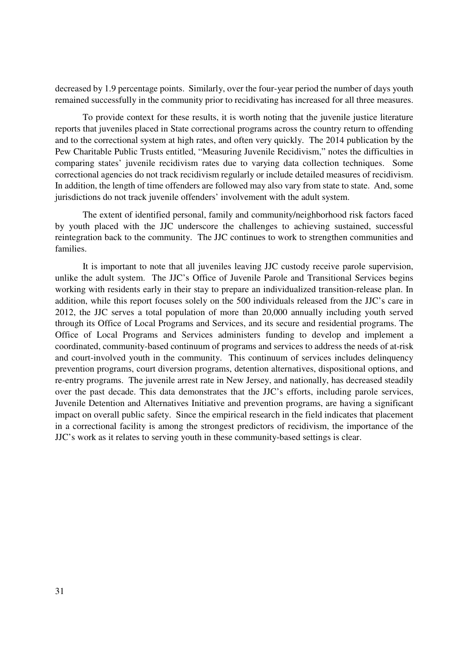decreased by 1.9 percentage points. Similarly, over the four-year period the number of days youth remained successfully in the community prior to recidivating has increased for all three measures.

To provide context for these results, it is worth noting that the juvenile justice literature reports that juveniles placed in State correctional programs across the country return to offending and to the correctional system at high rates, and often very quickly. The 2014 publication by the Pew Charitable Public Trusts entitled, "Measuring Juvenile Recidivism," notes the difficulties in comparing states' juvenile recidivism rates due to varying data collection techniques. Some correctional agencies do not track recidivism regularly or include detailed measures of recidivism. In addition, the length of time offenders are followed may also vary from state to state. And, some jurisdictions do not track juvenile offenders' involvement with the adult system.

The extent of identified personal, family and community/neighborhood risk factors faced by youth placed with the JJC underscore the challenges to achieving sustained, successful reintegration back to the community. The JJC continues to work to strengthen communities and families.

It is important to note that all juveniles leaving JJC custody receive parole supervision, unlike the adult system. The JJC's Office of Juvenile Parole and Transitional Services begins working with residents early in their stay to prepare an individualized transition-release plan. In addition, while this report focuses solely on the 500 individuals released from the JJC's care in 2012, the JJC serves a total population of more than 20,000 annually including youth served through its Office of Local Programs and Services, and its secure and residential programs. The Office of Local Programs and Services administers funding to develop and implement a coordinated, community-based continuum of programs and services to address the needs of at-risk and court-involved youth in the community. This continuum of services includes delinquency prevention programs, court diversion programs, detention alternatives, dispositional options, and re-entry programs. The juvenile arrest rate in New Jersey, and nationally, has decreased steadily over the past decade. This data demonstrates that the JJC's efforts, including parole services, Juvenile Detention and Alternatives Initiative and prevention programs, are having a significant impact on overall public safety. Since the empirical research in the field indicates that placement in a correctional facility is among the strongest predictors of recidivism, the importance of the JJC's work as it relates to serving youth in these community-based settings is clear.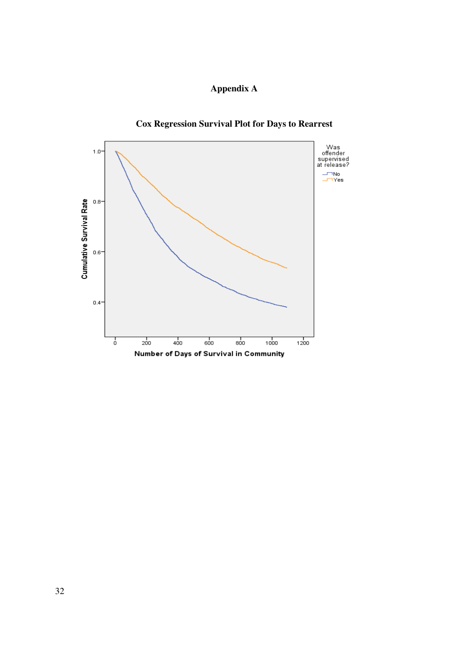## **Appendix A**



**Cox Regression Survival Plot for Days to Rearrest**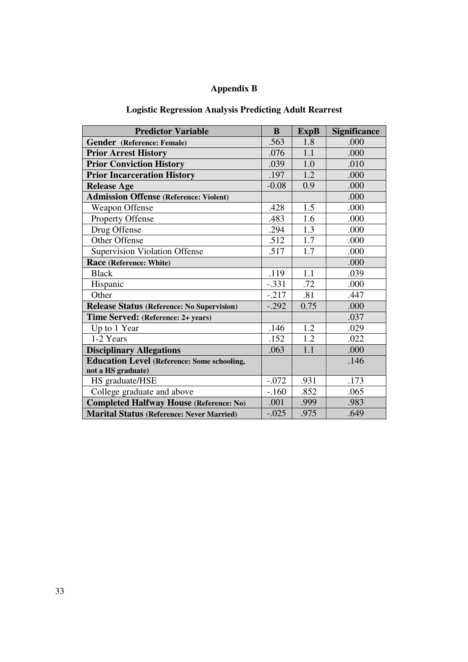## **Appendix B**

## **Logistic Regression Analysis Predicting Adult Rearrest**

| <b>Predictor Variable</b>                          | B       | <b>ExpB</b> | Significance |
|----------------------------------------------------|---------|-------------|--------------|
| Gender (Reference: Female)                         | .563    | 1.8         | .000         |
| <b>Prior Arrest History</b>                        | .076    | 1.1         | .000         |
| <b>Prior Conviction History</b>                    | .039    | 1.0         | .010         |
| <b>Prior Incarceration History</b>                 | .197    | 1.2         | .000         |
| <b>Release Age</b>                                 | $-0.08$ | 0.9         | .000         |
| <b>Admission Offense (Reference: Violent)</b>      |         |             | .000         |
| <b>Weapon Offense</b>                              | .428    | 1.5         | .000         |
| <b>Property Offense</b>                            | .483    | 1.6         | .000         |
| Drug Offense                                       | .294    | 1.3         | .000         |
| Other Offense                                      | .512    | 1.7         | .000         |
| <b>Supervision Violation Offense</b>               | .517    | 1.7         | .000         |
| Race (Reference: White)                            |         |             | .000         |
| <b>Black</b>                                       | .119    | 1.1         | .039         |
| Hispanic                                           | $-.331$ | .72         | .000         |
| Other                                              | $-.217$ | .81         | .447         |
| <b>Release Status (Reference: No Supervision)</b>  | $-.292$ | 0.75        | .000         |
| Time Served: (Reference: 2+ years)                 |         |             | .037         |
| Up to 1 Year                                       | .146    | 1.2         | .029         |
| 1-2 Years                                          | .152    | 1.2         | .022         |
| <b>Disciplinary Allegations</b>                    | .063    | 1.1         | .000         |
| <b>Education Level (Reference: Some schooling,</b> |         |             | .146         |
| not a HS graduate)                                 |         |             |              |
| HS graduate/HSE                                    | $-.072$ | .931        | .173         |
| College graduate and above                         | $-.160$ | .852        | .065         |
| <b>Completed Halfway House (Reference: No)</b>     | .001    | .999        | .983         |
| <b>Marital Status (Reference: Never Married)</b>   | $-.025$ | .975        | .649         |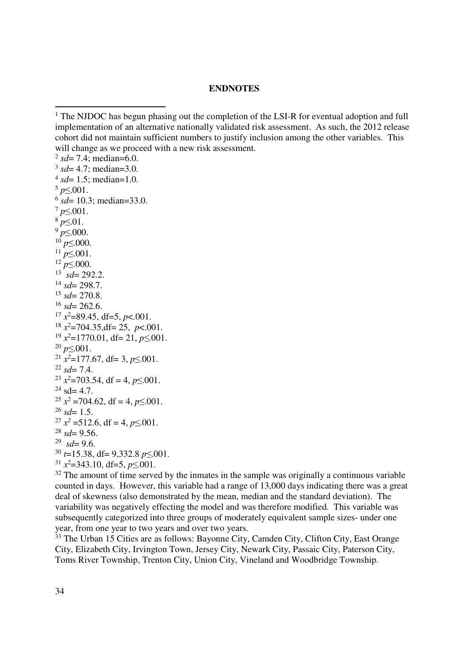#### **ENDNOTES**

```
2
sd= 7.4; median=6.0. 
3
sd= 4.7; median=3.0. 
4
sd= 1.5; median=1.0. 
5 p \le 0.001.
6
sd= 10.3; median=33.0. 
7 p≤.001. 
\int_{0}^{8} p \leq 0.01.
9^{6} p \leq .000.
10 \ p \leq .000.
11 \overline{p} \leq 0.001.
12 \text{ } p \leq .000.^{13} sd= 292.2.
14 sd= 298.7. 
^{15} sd= 270.8.
^{16} sd= 262.6.
17 x
2=89.45, df=5, p<.001. 
18 x
2=704.35,df= 25, p<.001. 
19 x
2=1770.01, df= 21, p≤.001. 
20 p≤.001. 
x^2 = 177.67, df= 3, p \le 0.001.
^{22} sd= 7.4.
<sup>23</sup> x^2=703.54, df = 4, p \le 0.001.
^{24} sd= 4.7.
2^5 x^2 = 704.62, df = 4, p \le 0.001.
^{26} sd= 1.5.
<sup>27</sup> x^2 = 512.6, df = 4, p \le 0.001.
28 \text{ sd} = 9.56.
^{29} sd= 9.6.
30 t=15.38, df= 9,332.8 p≤.001. 
31 x
2=343.10, df=5, p≤.001.
```
l,

 $32$  The amount of time served by the inmates in the sample was originally a continuous variable counted in days. However, this variable had a range of 13,000 days indicating there was a great deal of skewness (also demonstrated by the mean, median and the standard deviation). The variability was negatively effecting the model and was therefore modified. This variable was subsequently categorized into three groups of moderately equivalent sample sizes- under one year, from one year to two years and over two years.

<sup>33</sup> The Urban 15 Cities are as follows: Bayonne City, Camden City, Clifton City, East Orange City, Elizabeth City, Irvington Town, Jersey City, Newark City, Passaic City, Paterson City, Toms River Township, Trenton City, Union City, Vineland and Woodbridge Township.

<sup>&</sup>lt;sup>1</sup> The NJDOC has begun phasing out the completion of the LSI-R for eventual adoption and full implementation of an alternative nationally validated risk assessment. As such, the 2012 release cohort did not maintain sufficient numbers to justify inclusion among the other variables. This will change as we proceed with a new risk assessment.